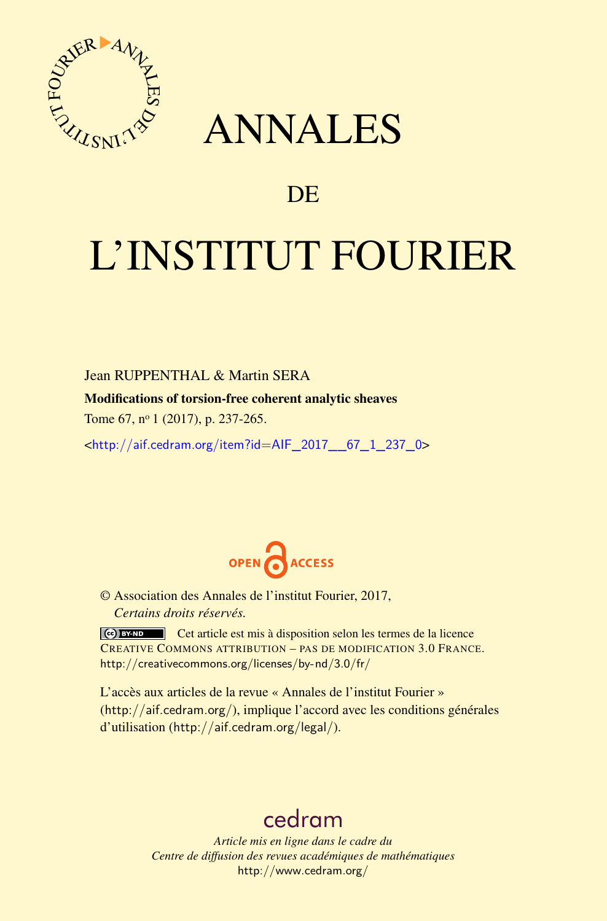

## ANNALES

## **DE**

# L'INSTITUT FOURIER

Jean RUPPENTHAL & Martin SERA

Modifications of torsion-free coherent analytic sheaves

Tome 67, nº 1 (2017), p. 237-265.

<[http://aif.cedram.org/item?id=AIF\\_2017\\_\\_67\\_1\\_237\\_0](http://aif.cedram.org/item?id=AIF_2017__67_1_237_0)>



© Association des Annales de l'institut Fourier, 2017, *Certains droits réservés.*

Cet article est mis à disposition selon les termes de la licence CREATIVE COMMONS ATTRIBUTION – PAS DE MODIFICATION 3.0 FRANCE. <http://creativecommons.org/licenses/by-nd/3.0/fr/>

L'accès aux articles de la revue « Annales de l'institut Fourier » (<http://aif.cedram.org/>), implique l'accord avec les conditions générales d'utilisation (<http://aif.cedram.org/legal/>).

## [cedram](http://www.cedram.org/)

*Article mis en ligne dans le cadre du Centre de diffusion des revues académiques de mathématiques* <http://www.cedram.org/>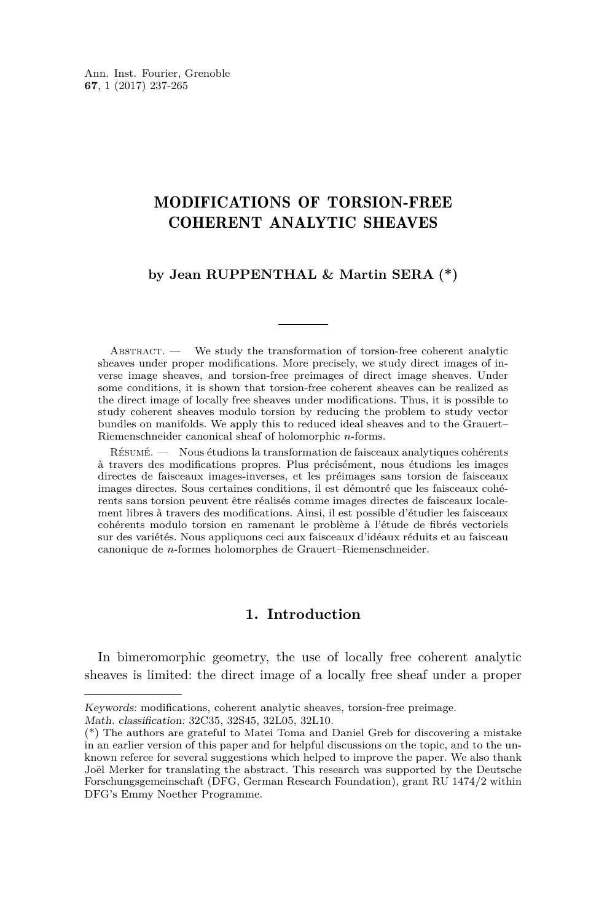### MODIFICATIONS OF TORSION-FREE COHERENT ANALYTIC SHEAVES

#### **by Jean RUPPENTHAL & Martin SERA (\*)**

ABSTRACT. — We study the transformation of torsion-free coherent analytic sheaves under proper modifications. More precisely, we study direct images of inverse image sheaves, and torsion-free preimages of direct image sheaves. Under some conditions, it is shown that torsion-free coherent sheaves can be realized as the direct image of locally free sheaves under modifications. Thus, it is possible to study coherent sheaves modulo torsion by reducing the problem to study vector bundles on manifolds. We apply this to reduced ideal sheaves and to the Grauert– Riemenschneider canonical sheaf of holomorphic *n*-forms.

Résumé. — Nous étudions la transformation de faisceaux analytiques cohérents à travers des modifications propres. Plus précisément, nous étudions les images directes de faisceaux images-inverses, et les préimages sans torsion de faisceaux images directes. Sous certaines conditions, il est démontré que les faisceaux cohérents sans torsion peuvent être réalisés comme images directes de faisceaux localement libres à travers des modifications. Ainsi, il est possible d'étudier les faisceaux cohérents modulo torsion en ramenant le problème à l'étude de fibrés vectoriels sur des variétés. Nous appliquons ceci aux faisceaux d'idéaux réduits et au faisceau canonique de *n*-formes holomorphes de Grauert–Riemenschneider.

#### **1. Introduction**

In bimeromorphic geometry, the use of locally free coherent analytic sheaves is limited: the direct image of a locally free sheaf under a proper

Math. classification: 32C35, 32S45, 32L05, 32L10.

Keywords: modifications, coherent analytic sheaves, torsion-free preimage.

<sup>(\*)</sup> The authors are grateful to Matei Toma and Daniel Greb for discovering a mistake in an earlier version of this paper and for helpful discussions on the topic, and to the unknown referee for several suggestions which helped to improve the paper. We also thank Joël Merker for translating the abstract. This research was supported by the Deutsche Forschungsgemeinschaft (DFG, German Research Foundation), grant RU 1474/2 within DFG's Emmy Noether Programme.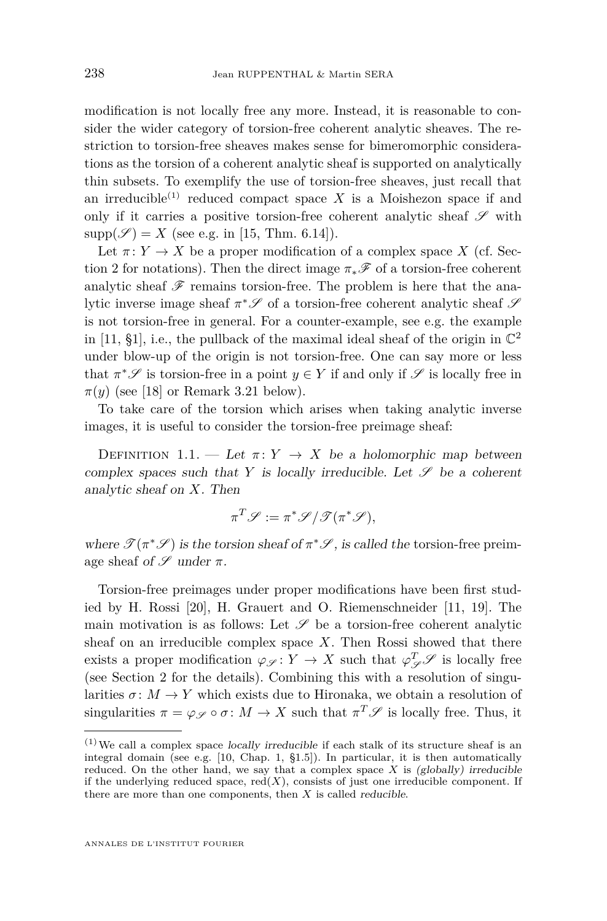modification is not locally free any more. Instead, it is reasonable to consider the wider category of torsion-free coherent analytic sheaves. The restriction to torsion-free sheaves makes sense for bimeromorphic considerations as the torsion of a coherent analytic sheaf is supported on analytically thin subsets. To exemplify the use of torsion-free sheaves, just recall that an irreducible<sup>(1)</sup> reduced compact space *X* is a Moishezon space if and only if it carries a positive torsion-free coherent analytic sheaf  $\mathscr S$  with  $supp(\mathscr{S}) = X$  (see e.g. in [\[15,](#page-29-0) Thm. 6.14]).

Let  $\pi: Y \to X$  be a proper modification of a complex space X (cf. Sec-tion [2](#page-5-0) for notations). Then the direct image  $\pi_*\mathscr{F}$  of a torsion-free coherent analytic sheaf  $\mathscr F$  remains torsion-free. The problem is here that the analytic inverse image sheaf  $\pi^*\mathscr S$  of a torsion-free coherent analytic sheaf  $\mathscr S$ is not torsion-free in general. For a counter-example, see e.g. the example in [\[11,](#page-29-1) §1], i.e., the pullback of the maximal ideal sheaf of the origin in  $\mathbb{C}^2$ under blow-up of the origin is not torsion-free. One can say more or less that  $\pi^* \mathscr{S}$  is torsion-free in a point  $y \in Y$  if and only if  $\mathscr{S}$  is locally free in  $\pi(y)$  (see [\[18\]](#page-29-2) or Remark [3.21](#page-17-0) below).

To take care of the torsion which arises when taking analytic inverse images, it is useful to consider the torsion-free preimage sheaf:

DEFINITION 1.1. — Let  $\pi: Y \to X$  be a holomorphic map between complex spaces such that  $Y$  is locally irreducible. Let  $\mathscr S$  be a coherent analytic sheaf on *X*. Then

$$
\pi^T \mathscr{S} := \pi^* \mathscr{S} / \mathscr{T} (\pi^* \mathscr{S}),
$$

where  $\mathcal{T}(\pi^*\mathcal{S})$  is the torsion sheaf of  $\pi^*\mathcal{S}$ , is called the torsion-free preimage sheaf of  $\mathscr S$  under  $\pi$ .

Torsion-free preimages under proper modifications have been first studied by H. Rossi [\[20\]](#page-29-3), H. Grauert and O. Riemenschneider [\[11,](#page-29-1) [19\]](#page-29-4). The main motivation is as follows: Let  $\mathscr S$  be a torsion-free coherent analytic sheaf on an irreducible complex space *X*. Then Rossi showed that there exists a proper modification  $\varphi_{\mathscr{S}} \colon Y \to X$  such that  $\varphi_{\mathscr{S}}^T \mathscr{S}$  is locally free (see Section [2](#page-5-0) for the details). Combining this with a resolution of singularities  $\sigma: M \to Y$  which exists due to Hironaka, we obtain a resolution of singularities  $\pi = \varphi_{\mathscr{S}} \circ \sigma \colon M \to X$  such that  $\pi^T \mathscr{S}$  is locally free. Thus, it

 $(1)$  We call a complex space locally irreducible if each stalk of its structure sheaf is an integral domain (see e.g. [\[10,](#page-29-5) Chap. 1, §1.5]). In particular, it is then automatically reduced. On the other hand, we say that a complex space  $X$  is (globally) irreducible if the underlying reduced space,  $red(X)$ , consists of just one irreducible component. If there are more than one components, then *X* is called reducible.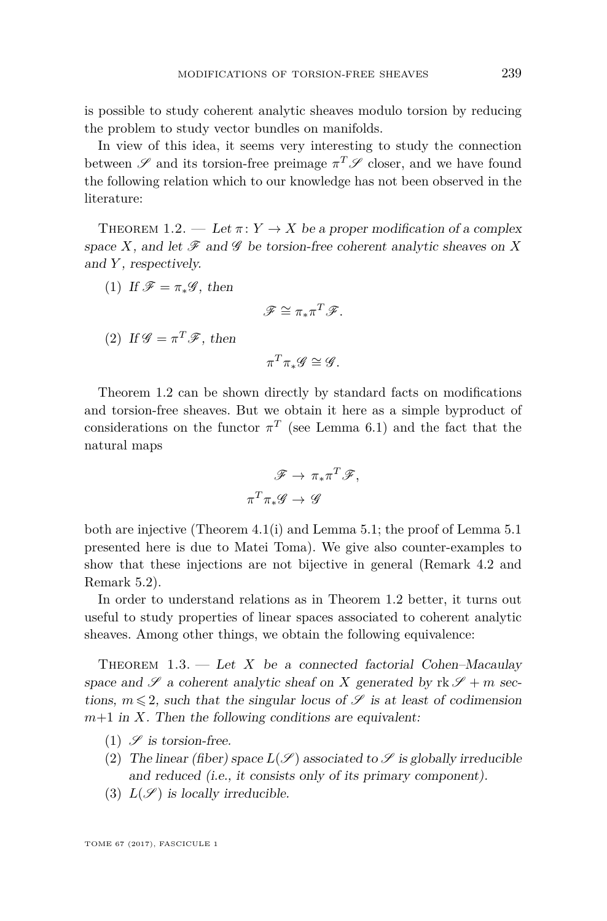is possible to study coherent analytic sheaves modulo torsion by reducing the problem to study vector bundles on manifolds.

In view of this idea, it seems very interesting to study the connection between  $\mathscr S$  and its torsion-free preimage  $\pi^T \mathscr S$  closer, and we have found the following relation which to our knowledge has not been observed in the literature:

<span id="page-3-0"></span>THEOREM 1.2. — Let  $\pi: Y \to X$  be a proper modification of a complex space *X*, and let  $\mathscr F$  and  $\mathscr G$  be torsion-free coherent analytic sheaves on *X* and *Y* , respectively.

(1) If 
$$
\mathscr{F} = \pi_* \mathscr{G}
$$
, then

$$
\mathscr{F} \cong \pi_* \pi^T \mathscr{F}.
$$

(2) If 
$$
\mathcal{G} = \pi^T \mathcal{F}
$$
, then

$$
\pi^T \pi_* \mathscr{G} \cong \mathscr{G}.
$$

Theorem [1.2](#page-3-0) can be shown directly by standard facts on modifications and torsion-free sheaves. But we obtain it here as a simple byproduct of considerations on the functor  $\pi^T$  (see Lemma [6.1\)](#page-21-0) and the fact that the natural maps

$$
\mathscr{F} \to \pi_* \pi^T \mathscr{F},
$$

$$
\pi^T \pi_* \mathscr{G} \to \mathscr{G}
$$

both are injective (Theorem [4.1\(](#page-17-1)i) and Lemma [5.1;](#page-19-0) the proof of Lemma [5.1](#page-19-0) presented here is due to Matei Toma). We give also counter-examples to show that these injections are not bijective in general (Remark [4.2](#page-18-0) and Remark [5.2\)](#page-20-0).

In order to understand relations as in Theorem [1.2](#page-3-0) better, it turns out useful to study properties of linear spaces associated to coherent analytic sheaves. Among other things, we obtain the following equivalence:

<span id="page-3-1"></span>THEOREM  $1.3.$  — Let *X* be a connected factorial Cohen–Macaulay space and  $\mathscr S$  a coherent analytic sheaf on *X* generated by  $\mathrm{rk}\,\mathscr S + m$  sections,  $m \leq 2$ , such that the singular locus of  $\mathscr S$  is at least of codimension  $m+1$  in *X*. Then the following conditions are equivalent:

- (1)  $\mathscr S$  is torsion-free.
- (2) The linear (fiber) space  $L(\mathscr{S})$  associated to  $\mathscr{S}$  is globally irreducible and reduced (i.e., it consists only of its primary component).
- (3)  $L(\mathscr{S})$  is locally irreducible.

TOME 67 (2017), FASCICULE 1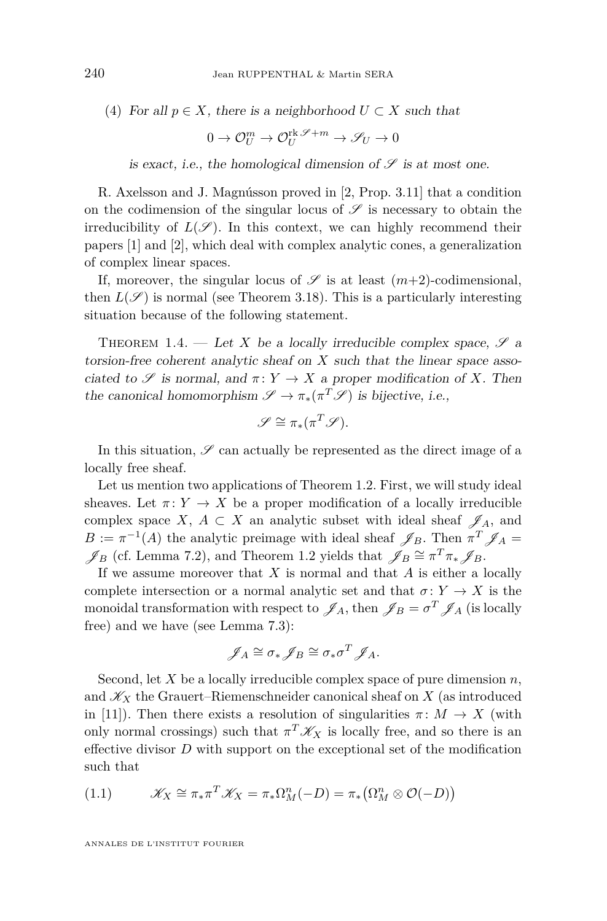(4) For all 
$$
p \in X
$$
, there is a neighborhood  $U \subset X$  such that

$$
0 \to \mathcal{O}_U^m \to \mathcal{O}_U^{\text{rk}\mathscr{S}+m} \to \mathscr{S}_U \to 0
$$

is exact, i.e., the homological dimension of  $\mathscr S$  is at most one.

R. Axelsson and J. Magnússon proved in [\[2,](#page-28-0) Prop. 3.11] that a condition on the codimension of the singular locus of  $\mathscr S$  is necessary to obtain the irreducibility of  $L(\mathscr{S})$ . In this context, we can highly recommend their papers [\[1\]](#page-28-1) and [\[2\]](#page-28-0), which deal with complex analytic cones, a generalization of complex linear spaces.

If, moreover, the singular locus of  $\mathscr S$  is at least  $(m+2)$ -codimensional, then  $L(\mathscr{S})$  is normal (see Theorem [3.18\)](#page-15-0). This is a particularly interesting situation because of the following statement.

<span id="page-4-1"></span>THEOREM 1.4. — Let *X* be a locally irreducible complex space,  $\mathscr{S}$  a torsion-free coherent analytic sheaf on *X* such that the linear space associated to  $\mathscr S$  is normal, and  $\pi: Y \to X$  a proper modification of X. Then the canonical homomorphism  $\mathscr{S} \to \pi_*(\pi^T \mathscr{S})$  is bijective, i.e.,

$$
\mathscr{S} \cong \pi_*(\pi^T \mathscr{S}).
$$

In this situation,  $\mathscr S$  can actually be represented as the direct image of a locally free sheaf.

Let us mention two applications of Theorem [1.2.](#page-3-0) First, we will study ideal sheaves. Let  $\pi: Y \to X$  be a proper modification of a locally irreducible complex space *X*,  $A \subset X$  an analytic subset with ideal sheaf  $\mathscr{J}_A$ , and  $B := \pi^{-1}(A)$  the analytic preimage with ideal sheaf  $\mathscr{J}_B$ . Then  $\pi^T \mathscr{J}_A =$  $\mathscr{J}_B$  (cf. Lemma [7.2\)](#page-22-0), and Theorem [1.2](#page-3-0) yields that  $\mathscr{J}_B \cong \pi^T \pi_* \mathscr{J}_B$ .

If we assume moreover that *X* is normal and that *A* is either a locally complete intersection or a normal analytic set and that  $\sigma: Y \to X$  is the monoidal transformation with respect to  $\mathscr{J}_A$ , then  $\mathscr{J}_B = \sigma^T \mathscr{J}_A$  (is locally free) and we have (see Lemma [7.3\)](#page-23-0):

$$
\mathscr{J}_A \cong \sigma_* \mathscr{J}_B \cong \sigma_* \sigma^T \mathscr{J}_A.
$$

Second, let *X* be a locally irreducible complex space of pure dimension *n*, and  $\mathscr{K}_X$  the Grauert–Riemenschneider canonical sheaf on  $X$  (as introduced in [\[11\]](#page-29-1)). Then there exists a resolution of singularities  $\pi \colon M \to X$  (with only normal crossings) such that  $\pi^T \mathscr{K}_X$  is locally free, and so there is an effective divisor *D* with support on the exceptional set of the modification such that

<span id="page-4-0"></span>(1.1) 
$$
\mathscr{K}_X \cong \pi_* \pi^T \mathscr{K}_X = \pi_* \Omega_M^n(-D) = \pi_* \big( \Omega_M^n \otimes \mathcal{O}(-D) \big)
$$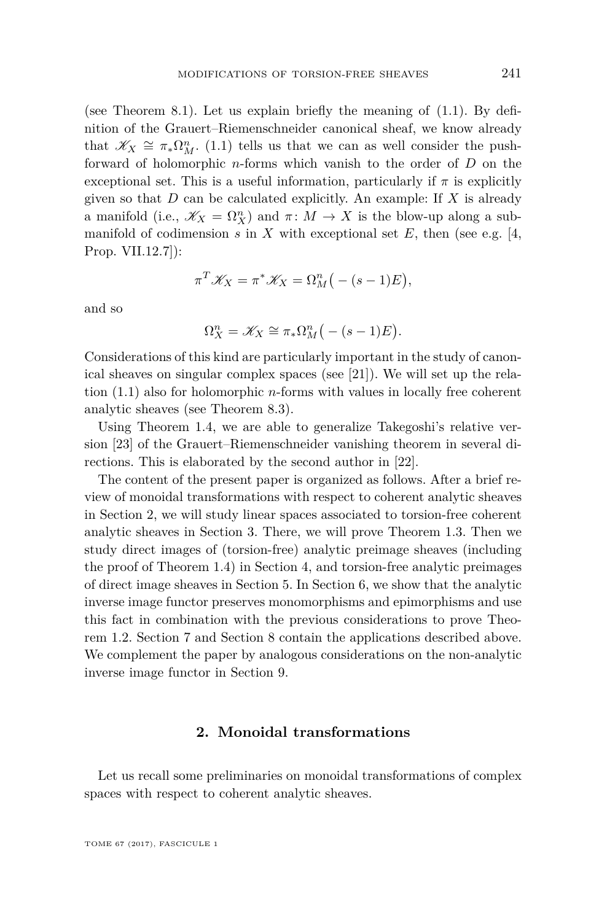(see Theorem [8.1\)](#page-24-0). Let us explain briefly the meaning of [\(1.1\)](#page-4-0). By definition of the Grauert–Riemenschneider canonical sheaf, we know already that  $\mathscr{K}_X \cong \pi_* \Omega^n_M$ . [\(1.1\)](#page-4-0) tells us that we can as well consider the pushforward of holomorphic *n*-forms which vanish to the order of *D* on the exceptional set. This is a useful information, particularly if  $\pi$  is explicitly given so that *D* can be calculated explicitly. An example: If *X* is already a manifold (i.e.,  $\mathscr{K}_X = \Omega_X^n$ ) and  $\pi \colon M \to X$  is the blow-up along a submanifold of codimension  $s$  in  $X$  with exceptional set  $E$ , then (see e.g. [\[4,](#page-28-2) Prop. VII.12.7]):

$$
\pi^T \mathscr{K}_X = \pi^* \mathscr{K}_X = \Omega^n_M \big( -(s-1)E \big),
$$

and so

$$
\Omega_X^n = \mathscr{K}_X \cong \pi_* \Omega_M^n \big(- (s-1)E\big).
$$

Considerations of this kind are particularly important in the study of canonical sheaves on singular complex spaces (see [\[21\]](#page-29-6)). We will set up the relation [\(1.1\)](#page-4-0) also for holomorphic *n*-forms with values in locally free coherent analytic sheaves (see Theorem [8.3\)](#page-25-0).

Using Theorem [1.4,](#page-4-1) we are able to generalize Takegoshi's relative version [\[23\]](#page-29-7) of the Grauert–Riemenschneider vanishing theorem in several directions. This is elaborated by the second author in [\[22\]](#page-29-8).

The content of the present paper is organized as follows. After a brief review of monoidal transformations with respect to coherent analytic sheaves in Section [2,](#page-5-0) we will study linear spaces associated to torsion-free coherent analytic sheaves in Section [3.](#page-6-0) There, we will prove Theorem [1.3.](#page-3-1) Then we study direct images of (torsion-free) analytic preimage sheaves (including the proof of Theorem [1.4\)](#page-4-1) in Section [4,](#page-17-2) and torsion-free analytic preimages of direct image sheaves in Section [5.](#page-19-1) In Section [6,](#page-21-1) we show that the analytic inverse image functor preserves monomorphisms and epimorphisms and use this fact in combination with the previous considerations to prove Theorem [1.2.](#page-3-0) Section [7](#page-22-1) and Section [8](#page-24-1) contain the applications described above. We complement the paper by analogous considerations on the non-analytic inverse image functor in Section [9.](#page-26-0)

#### **2. Monoidal transformations**

<span id="page-5-0"></span>Let us recall some preliminaries on monoidal transformations of complex spaces with respect to coherent analytic sheaves.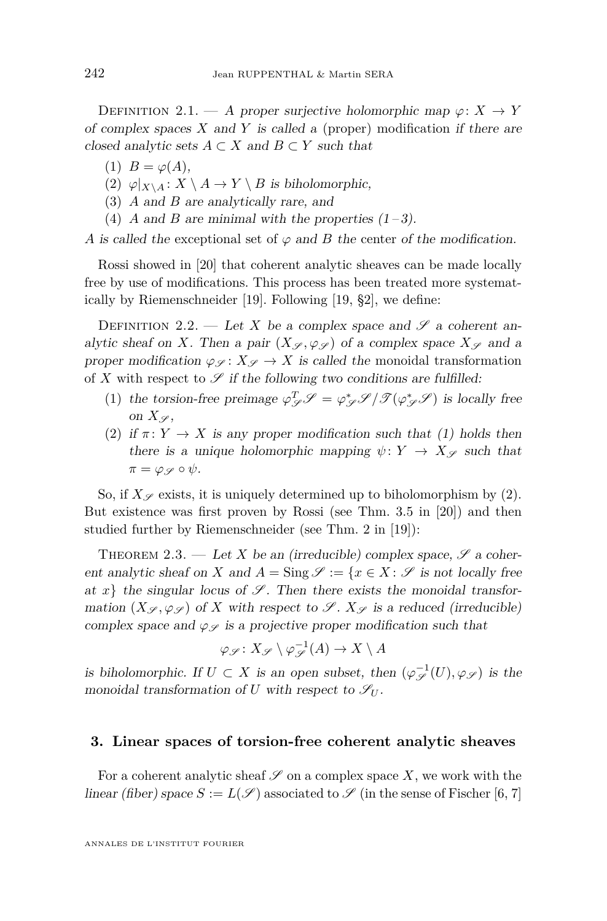DEFINITION 2.1. — A proper surjective holomorphic map  $\varphi: X \to Y$ of complex spaces *X* and *Y* is called a (proper) modification if there are closed analytic sets  $A \subset X$  and  $B \subset Y$  such that

- (1)  $B = \varphi(A)$ ,
- (2)  $\varphi|_{X\setminus A}: X\setminus A \to Y\setminus B$  is biholomorphic,
- (3) *A* and *B* are analytically rare, and
- (4) *A* and *B* are minimal with the properties  $(1-3)$ .

*A* is called the exceptional set of  $\varphi$  and *B* the center of the modification.

Rossi showed in [\[20\]](#page-29-3) that coherent analytic sheaves can be made locally free by use of modifications. This process has been treated more systematically by Riemenschneider [\[19\]](#page-29-4). Following [\[19,](#page-29-4) §2], we define:

DEFINITION 2.2. — Let X be a complex space and  $\mathscr S$  a coherent analytic sheaf on *X*. Then a pair  $(X_{\mathscr{S}}, \varphi_{\mathscr{S}})$  of a complex space  $X_{\mathscr{S}}$  and a proper modification  $\varphi_{\mathscr{S}}: X_{\mathscr{S}} \to X$  is called the monoidal transformation of X with respect to  $\mathscr S$  if the following two conditions are fulfilled:

- (1) the torsion-free preimage  $\varphi_{\mathscr{S}}^T \mathscr{S} = \varphi_{\mathscr{S}}^* \mathscr{S} / \mathscr{T}(\varphi_{\mathscr{S}}^* \mathscr{S})$  is locally free on  $X_{\mathscr{S}}$ ,
- (2) if  $\pi: Y \to X$  is any proper modification such that (1) holds then there is a unique holomorphic mapping  $\psi: Y \to X_{\mathscr{S}}$  such that  $\pi = \varphi_{\mathscr{S}} \circ \psi$ .

So, if  $X_{\mathscr{S}}$  exists, it is uniquely determined up to biholomorphism by (2). But existence was first proven by Rossi (see Thm. 3.5 in [\[20\]](#page-29-3)) and then studied further by Riemenschneider (see Thm. 2 in [\[19\]](#page-29-4)):

<span id="page-6-1"></span>THEOREM 2.3. — Let *X* be an (irreducible) complex space,  $\mathscr{S}$  a coherent analytic sheaf on *X* and  $A = \text{Sing } \mathscr{S} := \{x \in X : \mathscr{S}$  is not locally free at  $x\}$  the singular locus of  $\mathscr{S}$ . Then there exists the monoidal transformation  $(X_{\mathscr{S}}, \varphi_{\mathscr{S}})$  of *X* with respect to  $\mathscr{S}$ .  $X_{\mathscr{S}}$  is a reduced (irreducible) complex space and  $\varphi_{\mathscr{S}}$  is a projective proper modification such that

$$
\varphi_{\mathscr{S}}\colon X_{\mathscr{S}}\setminus \varphi_{\mathscr{S}}^{-1}(A)\to X\setminus A
$$

is biholomorphic. If  $U \subset X$  is an open subset, then  $(\varphi_{\mathscr{S}}^{-1}(U), \varphi_{\mathscr{S}})$  is the monoidal transformation of *U* with respect to  $\mathscr{S}_U$ .

#### <span id="page-6-0"></span>**3. Linear spaces of torsion-free coherent analytic sheaves**

For a coherent analytic sheaf  $\mathscr S$  on a complex space X, we work with the linear (fiber) space  $S := L(\mathscr{S})$  associated to  $\mathscr{S}$  (in the sense of Fischer [\[6,](#page-28-3) [7\]](#page-28-4)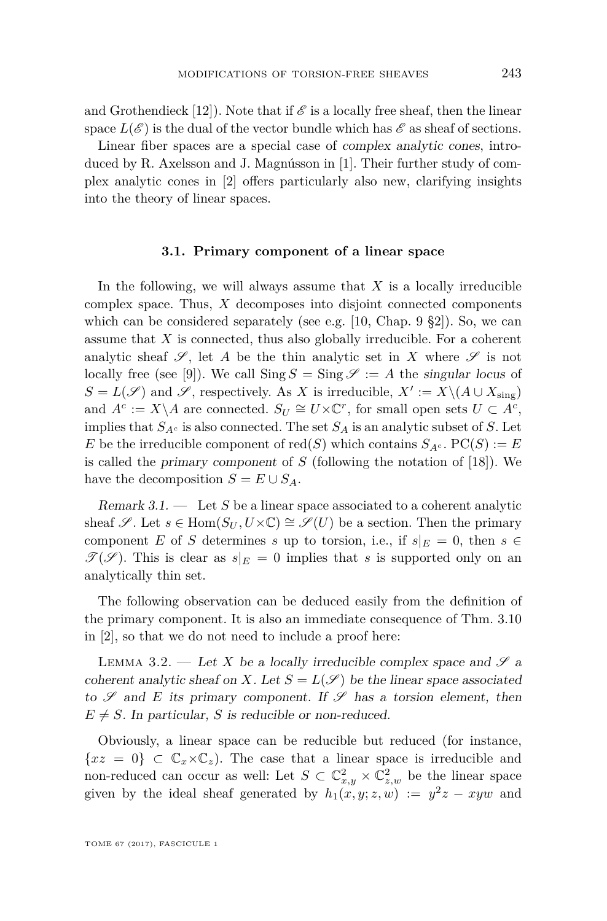and Grothendieck [\[12\]](#page-29-9)). Note that if  $\mathscr E$  is a locally free sheaf, then the linear space  $L(\mathscr{E})$  is the dual of the vector bundle which has  $\mathscr{E}$  as sheaf of sections.

Linear fiber spaces are a special case of complex analytic cones, introduced by R. Axelsson and J. Magnússon in [\[1\]](#page-28-1). Their further study of complex analytic cones in [\[2\]](#page-28-0) offers particularly also new, clarifying insights into the theory of linear spaces.

#### **3.1. Primary component of a linear space**

In the following, we will always assume that *X* is a locally irreducible complex space. Thus, *X* decomposes into disjoint connected components which can be considered separately (see e.g.  $[10,$  Chap. 9  $\S2]$ ). So, we can assume that *X* is connected, thus also globally irreducible. For a coherent analytic sheaf  $\mathscr{S}$ , let A be the thin analytic set in X where  $\mathscr{S}$  is not locally free (see [\[9\]](#page-28-5)). We call  $\text{Sing } S = \text{Sing } \mathscr{S} := A$  the singular locus of  $S = L(\mathscr{S})$  and  $\mathscr{S}$ , respectively. As *X* is irreducible,  $X' := X \setminus (A \cup X_{sing})$ and  $A^c := X \setminus A$  are connected.  $S_U \cong U \times \mathbb{C}^r$ , for small open sets  $U \subset A^c$ , implies that  $S_{A^c}$  is also connected. The set  $S_A$  is an analytic subset of *S*. Let *E* be the irreducible component of red(*S*) which contains  $S_{A^c}$ .  $PC(S) := E$ is called the primary component of *S* (following the notation of [\[18\]](#page-29-2)). We have the decomposition  $S = E \cup S_A$ .

<span id="page-7-1"></span>Remark 3.1. — Let *S* be a linear space associated to a coherent analytic sheaf  $\mathscr{S}$ . Let  $s \in \text{Hom}(S_U, U \times \mathbb{C}) \cong \mathscr{S}(U)$  be a section. Then the primary component *E* of *S* determines *s* up to torsion, i.e., if  $s|_E = 0$ , then  $s \in$  $\mathscr{T}(\mathscr{S})$ . This is clear as  $s|_E = 0$  implies that *s* is supported only on an analytically thin set.

The following observation can be deduced easily from the definition of the primary component. It is also an immediate consequence of Thm. 3.10 in [\[2\]](#page-28-0), so that we do not need to include a proof here:

<span id="page-7-0"></span>LEMMA 3.2. — Let X be a locally irreducible complex space and  $\mathscr{S}$  a coherent analytic sheaf on *X*. Let  $S = L(\mathcal{S})$  be the linear space associated to  $\mathscr S$  and *E* its primary component. If  $\mathscr S$  has a torsion element, then  $E \neq S$ . In particular, *S* is reducible or non-reduced.

Obviously, a linear space can be reducible but reduced (for instance,  ${xz = 0} \subset \mathbb{C}_x \times \mathbb{C}_z$ . The case that a linear space is irreducible and non-reduced can occur as well: Let  $S \subset \mathbb{C}^2_{x,y} \times \mathbb{C}^2_{z,w}$  be the linear space given by the ideal sheaf generated by  $h_1(x, y; z, w) := y^2z - xyw$  and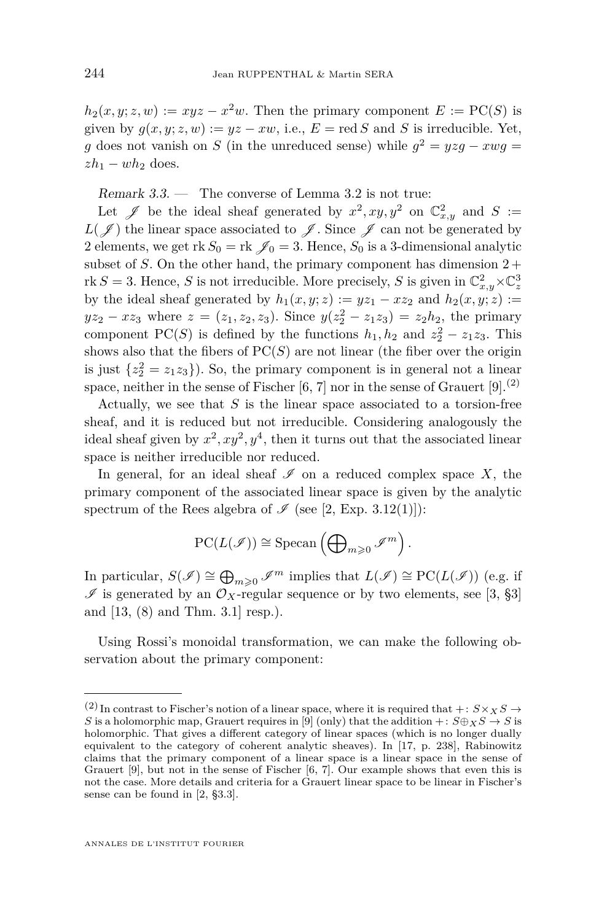$h_2(x, y; z, w) := xyz - x^2w$ . Then the primary component  $E := \text{PC}(S)$  is given by  $g(x, y; z, w) := yz - xw$ , i.e.,  $E = \text{red } S$  and *S* is irreducible. Yet, *g* does not vanish on *S* (in the unreduced sense) while  $g^2 = yzg - xwg =$  $zh_1 - wh_2$  does.

<span id="page-8-0"></span>Remark  $3.3.$  — The converse of Lemma  $3.2$  is not true:

Let  $\mathscr{J}$  be the ideal sheaf generated by  $x^2, xy, y^2$  on  $\mathbb{C}^2_{x,y}$  and  $S :=$  $L(\mathscr{J})$  the linear space associated to  $\mathscr{J}$ . Since  $\mathscr{J}$  can not be generated by 2 elements, we get rk  $S_0 = \text{rk } \mathscr{J}_0 = 3$ . Hence,  $S_0$  is a 3-dimensional analytic subset of *S*. On the other hand, the primary component has dimension  $2 +$ rk *S* = 3. Hence, *S* is not irreducible. More precisely, *S* is given in  $\mathbb{C}^2_{x,y} \times \mathbb{C}^3_z$ by the ideal sheaf generated by  $h_1(x, y; z) := yz_1 - xz_2$  and  $h_2(x, y; z) :=$  $yz_2 - xz_3$  where  $z = (z_1, z_2, z_3)$ . Since  $y(z_2^2 - z_1z_3) = z_2h_2$ , the primary component PC(*S*) is defined by the functions  $h_1, h_2$  and  $z_2^2 - z_1 z_3$ . This shows also that the fibers of  $PC(S)$  are not linear (the fiber over the origin is just  $\{z_2^2 = z_1 z_3\}$ . So, the primary component is in general not a linear space, neither in the sense of Fischer  $[6, 7]$  $[6, 7]$  $[6, 7]$  nor in the sense of Grauert  $[9].^{(2)}$  $[9].^{(2)}$ 

Actually, we see that *S* is the linear space associated to a torsion-free sheaf, and it is reduced but not irreducible. Considering analogously the ideal sheaf given by  $x^2, xy^2, y^4$ , then it turns out that the associated linear space is neither irreducible nor reduced.

In general, for an ideal sheaf  $\mathscr I$  on a reduced complex space X, the primary component of the associated linear space is given by the analytic spectrum of the Rees algebra of  $\mathscr I$  (see [\[2,](#page-28-0) Exp. 3.12(1)]):

$$
\mathrm{PC}(L(\mathscr{I}))\cong \mathrm{Specan}\left(\bigoplus\nolimits_{m\geqslant 0}\mathscr{I}^m\right).
$$

In particular,  $S(\mathscr{I}) \cong \bigoplus_{m\geqslant 0} \mathscr{I}^m$  implies that  $L(\mathscr{I}) \cong \mathrm{PC}(L(\mathscr{I}))$  (e.g. if  $\mathscr I$  is generated by an  $\mathcal O_X$ -regular sequence or by two elements, see [\[3,](#page-28-6) §3] and [\[13,](#page-29-10) (8) and Thm. 3.1] resp.).

Using Rossi's monoidal transformation, we can make the following observation about the primary component:

<sup>&</sup>lt;sup>(2)</sup> In contrast to Fischer's notion of a linear space, where it is required that  $+: S \times_X S \rightarrow$ *S* is a holomorphic map, Grauert requires in [\[9\]](#page-28-5) (only) that the addition +:  $S \oplus_X S \rightarrow S$  is holomorphic. That gives a different category of linear spaces (which is no longer dually equivalent to the category of coherent analytic sheaves). In [\[17,](#page-29-11) p. 238], Rabinowitz claims that the primary component of a linear space is a linear space in the sense of Grauert [\[9\]](#page-28-5), but not in the sense of Fischer [\[6,](#page-28-3) [7\]](#page-28-4). Our example shows that even this is not the case. More details and criteria for a Grauert linear space to be linear in Fischer's sense can be found in [\[2,](#page-28-0) §3.3].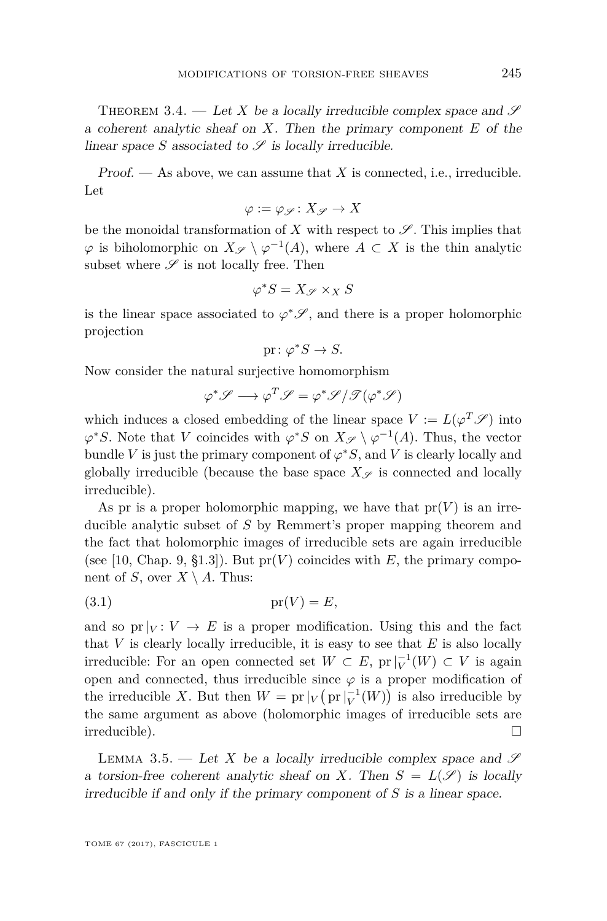<span id="page-9-0"></span>THEOREM 3.4. — Let X be a locally irreducible complex space and  $\mathscr S$ a coherent analytic sheaf on *X*. Then the primary component *E* of the linear space *S* associated to  $\mathscr S$  is locally irreducible.

Proof.  $\mathcal{A}$  As above, we can assume that X is connected, i.e., irreducible. Let

$$
\varphi:=\varphi_{\mathscr{S}}\colon X_{\mathscr{S}}\to X
$$

be the monoidal transformation of *X* with respect to  $\mathscr S$ . This implies that  $\varphi$  is biholomorphic on  $X_{\mathscr{S}} \setminus \varphi^{-1}(A)$ , where  $A \subset X$  is the thin analytic subset where  $\mathscr S$  is not locally free. Then

$$
\varphi^*S = X_{\mathscr{S}} \times_X S
$$

is the linear space associated to  $\varphi^* \mathscr{S}$ , and there is a proper holomorphic projection

$$
\text{pr} \colon \varphi^*S \to S.
$$

Now consider the natural surjective homomorphism

$$
\varphi^* \mathscr{S} \longrightarrow \varphi^T \mathscr{S} = \varphi^* \mathscr{S} / \mathscr{T} (\varphi^* \mathscr{S})
$$

which induces a closed embedding of the linear space  $V := L(\varphi^T \mathscr{S})$  into  $\varphi$ <sup>\*</sup>*S*. Note that *V* coincides with  $\varphi$ <sup>\*</sup>*S* on  $X_{\mathscr{S}} \setminus \varphi^{-1}(A)$ . Thus, the vector bundle *V* is just the primary component of  $\varphi^* S$ , and *V* is clearly locally and globally irreducible (because the base space  $X_{\mathscr{S}}$  is connected and locally irreducible).

As pr is a proper holomorphic mapping, we have that  $pr(V)$  is an irreducible analytic subset of *S* by Remmert's proper mapping theorem and the fact that holomorphic images of irreducible sets are again irreducible (see [\[10,](#page-29-5) Chap. 9, §1.3]). But  $pr(V)$  coincides with *E*, the primary component of *S*, over  $X \setminus A$ . Thus:

<span id="page-9-2"></span>
$$
(3.1) \t\t\t pr(V) = E,
$$

and so pr $|_V: V \to E$  is a proper modification. Using this and the fact that  $V$  is clearly locally irreducible, it is easy to see that  $E$  is also locally irreducible: For an open connected set  $W \subset E$ ,  $pr|_{V}^{-1}(W) \subset V$  is again open and connected, thus irreducible since  $\varphi$  is a proper modification of the irreducible *X*. But then  $W = \text{pr}|_V(\text{pr}|_V^{-1}(W))$  is also irreducible by the same argument as above (holomorphic images of irreducible sets are irreducible).

<span id="page-9-1"></span>LEMMA 3.5. — Let X be a locally irreducible complex space and  $\mathscr S$ a torsion-free coherent analytic sheaf on *X*. Then  $S = L(\mathscr{S})$  is locally irreducible if and only if the primary component of *S* is a linear space.

TOME 67 (2017), FASCICULE 1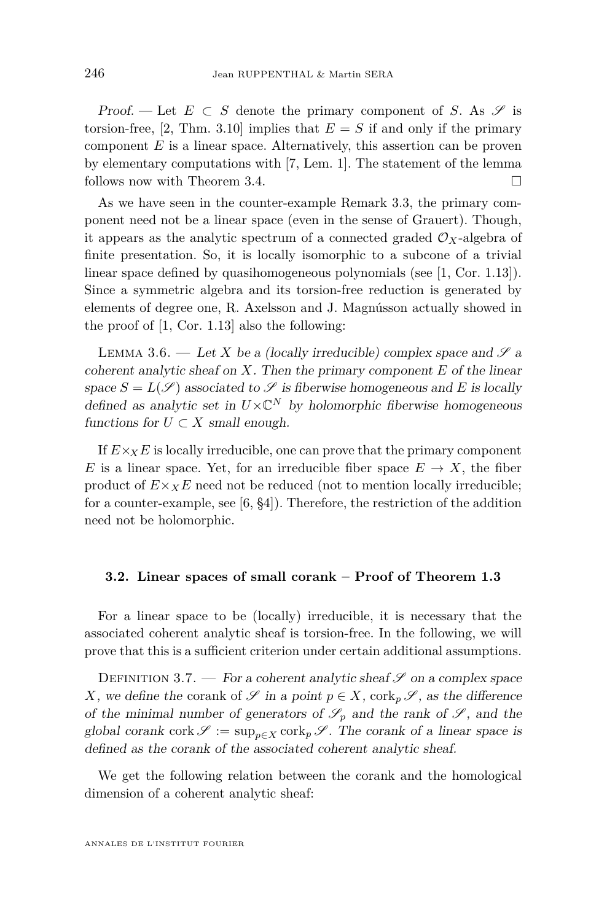Proof. — Let  $E \subset S$  denote the primary component of *S*. As  $\mathscr S$  is torsion-free, [\[2,](#page-28-0) Thm. 3.10] implies that  $E = S$  if and only if the primary component *E* is a linear space. Alternatively, this assertion can be proven by elementary computations with [\[7,](#page-28-4) Lem. 1]. The statement of the lemma follows now with Theorem [3.4.](#page-9-0)

As we have seen in the counter-example Remark [3.3,](#page-8-0) the primary component need not be a linear space (even in the sense of Grauert). Though, it appears as the analytic spectrum of a connected graded  $\mathcal{O}_X$ -algebra of finite presentation. So, it is locally isomorphic to a subcone of a trivial linear space defined by quasihomogeneous polynomials (see [\[1,](#page-28-1) Cor. 1.13]). Since a symmetric algebra and its torsion-free reduction is generated by elements of degree one, R. Axelsson and J. Magnússon actually showed in the proof of [\[1,](#page-28-1) Cor. 1.13] also the following:

<span id="page-10-0"></span>LEMMA 3.6. — Let *X* be a (locally irreducible) complex space and  $\mathscr{S}$  a coherent analytic sheaf on *X*. Then the primary component *E* of the linear space  $S = L(\mathscr{S})$  associated to  $\mathscr{S}$  is fiberwise homogeneous and *E* is locally defined as analytic set in  $U\times\mathbb{C}^N$  by holomorphic fiberwise homogeneous functions for  $U \subset X$  small enough.

If  $E\times_{X}E$  is locally irreducible, one can prove that the primary component *E* is a linear space. Yet, for an irreducible fiber space  $E \to X$ , the fiber product of  $E \times_X E$  need not be reduced (not to mention locally irreducible; for a counter-example, see [\[6,](#page-28-3) §4]). Therefore, the restriction of the addition need not be holomorphic.

#### **3.2. Linear spaces of small corank – Proof of Theorem [1.3](#page-3-1)**

For a linear space to be (locally) irreducible, it is necessary that the associated coherent analytic sheaf is torsion-free. In the following, we will prove that this is a sufficient criterion under certain additional assumptions.

DEFINITION 3.7. — For a coherent analytic sheaf  $\mathscr S$  on a complex space *X*, we define the corank of  $\mathscr S$  in a point  $p \in X$ , cork<sub>p</sub>  $\mathscr S$ , as the difference of the minimal number of generators of  $\mathscr{S}_p$  and the rank of  $\mathscr{S}_p$ , and the global corank cork  $\mathscr{S} := \sup_{p \in X} \text{cork}_p \mathscr{S}$ . The corank of a linear space is defined as the corank of the associated coherent analytic sheaf.

We get the following relation between the corank and the homological dimension of a coherent analytic sheaf: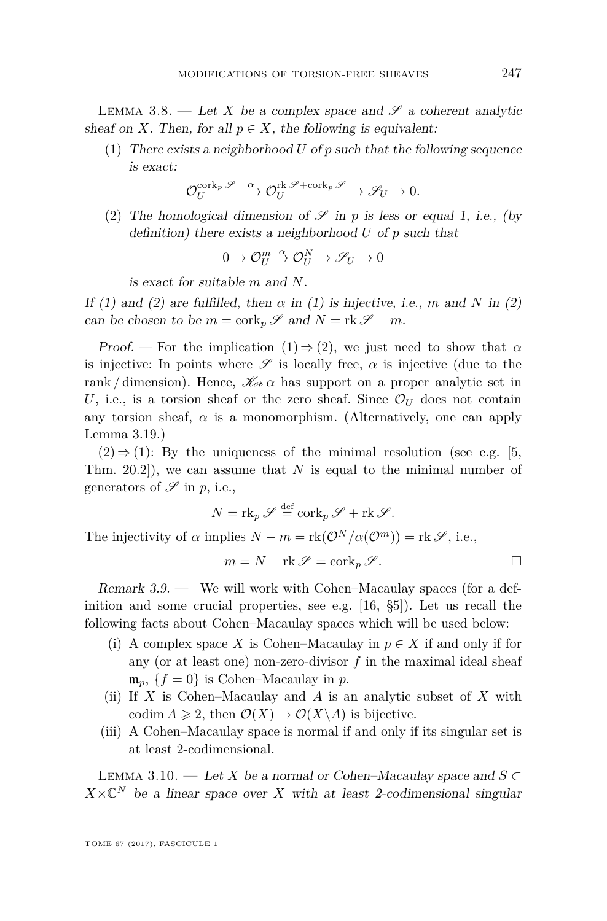<span id="page-11-1"></span>LEMMA 3.8. — Let X be a complex space and  $\mathscr S$  a coherent analytic sheaf on *X*. Then, for all  $p \in X$ , the following is equivalent:

(1) There exists a neighborhood *U* of *p* such that the following sequence is exact:

$$
\mathcal{O}_U^{\text{cork}_p\mathscr{S}} \stackrel{\alpha}{\longrightarrow} \mathcal{O}_U^{\text{rk}\mathscr{S} + \text{cork}_p\mathscr{S}} \to \mathscr{S}_U \to 0.
$$

(2) The homological dimension of  $\mathscr S$  in *p* is less or equal 1, i.e., (by definition) there exists a neighborhood *U* of *p* such that

$$
0 \to {\mathcal O}_U^m \overset{\alpha}{\to} {\mathcal O}_U^N \to {\mathscr S}_U \to 0
$$

is exact for suitable *m* and *N*.

If (1) and (2) are fulfilled, then  $\alpha$  in (1) is injective, i.e.,  $m$  and  $N$  in (2) can be chosen to be  $m = \text{cork}_p \mathscr{S}$  and  $N = \text{rk } \mathscr{S} + m$ .

Proof. — For the implication  $(1) \Rightarrow (2)$ , we just need to show that  $\alpha$ is injective: In points where  $\mathscr S$  is locally free,  $\alpha$  is injective (due to the rank / dimension). Hence,  $\mathcal{K}_{e\alpha}$  a has support on a proper analytic set in *U*, i.e., is a torsion sheaf or the zero sheaf. Since  $\mathcal{O}_U$  does not contain any torsion sheaf,  $\alpha$  is a monomorphism. (Alternatively, one can apply Lemma [3.19.](#page-16-0))

 $(2) \Rightarrow (1)$ : By the uniqueness of the minimal resolution (see e.g. [\[5,](#page-28-7) Thm. 20.2]), we can assume that *N* is equal to the minimal number of generators of  $\mathscr S$  in p, i.e.,

$$
N = \operatorname{rk}_p \mathscr{S} \stackrel{\text{def}}{=} \operatorname{cork}_p \mathscr{S} + \operatorname{rk} \mathscr{S}.
$$
  
implies 
$$
N - m = \operatorname{rk}(\mathcal{O}^N/\alpha(\mathcal{O}^m)) = \operatorname{rk} \mathscr{S}, \text{ i.e.,}
$$

$$
m = N - \text{rk } \mathscr{S} = \text{cork}_p \mathscr{S}.
$$

<span id="page-11-2"></span>Remark 3.9. — We will work with Cohen–Macaulay spaces (for a definition and some crucial properties, see e.g. [\[16,](#page-29-12) §5]). Let us recall the following facts about Cohen–Macaulay spaces which will be used below:

- (i) A complex space X is Cohen–Macaulay in  $p \in X$  if and only if for any (or at least one) non-zero-divisor *f* in the maximal ideal sheaf  $\mathfrak{m}_p$ ,  $\{f=0\}$  is Cohen–Macaulay in *p*.
- (ii) If *X* is Cohen–Macaulay and *A* is an analytic subset of *X* with codim  $A \geq 2$ , then  $\mathcal{O}(X) \to \mathcal{O}(X \backslash A)$  is bijective.
- (iii) A Cohen–Macaulay space is normal if and only if its singular set is at least 2-codimensional.

<span id="page-11-0"></span>Lemma 3.10. — Let *X* be a normal or Cohen–Macaulay space and *S* ⊂  $X \times \mathbb{C}^N$  be a linear space over *X* with at least 2-codimensional singular

The injectivity of  $\alpha$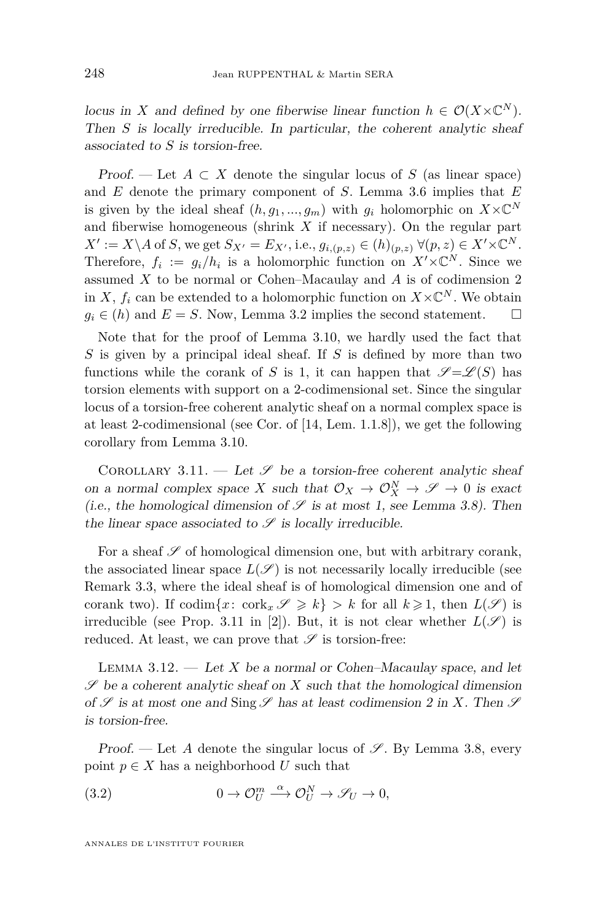locus in *X* and defined by one fiberwise linear function  $h \in \mathcal{O}(X \times \mathbb{C}^N)$ . Then *S* is locally irreducible. In particular, the coherent analytic sheaf associated to *S* is torsion-free.

Proof. — Let  $A \subset X$  denote the singular locus of  $S$  (as linear space) and *E* denote the primary component of *S*. Lemma [3.6](#page-10-0) implies that *E* is given by the ideal sheaf  $(h, g_1, ..., g_m)$  with  $g_i$  holomorphic on  $X \times \mathbb{C}^N$ and fiberwise homogeneous (shrink *X* if necessary). On the regular part  $X' := X \setminus A$  of *S*, we get  $S_{X'} = E_{X'}$ , i.e.,  $g_{i,(p,z)} \in (h)_{(p,z)} \ \forall (p,z) \in X' \times \mathbb{C}^N$ . Therefore,  $f_i := g_i/h_i$  is a holomorphic function on  $X' \times \mathbb{C}^N$ . Since we assumed *X* to be normal or Cohen–Macaulay and *A* is of codimension 2 in *X*,  $f_i$  can be extended to a holomorphic function on  $X \times \mathbb{C}^N$ . We obtain  $g_i \in (h)$  and  $E = S$ . Now, Lemma [3.2](#page-7-0) implies the second statement.  $\square$ 

Note that for the proof of Lemma [3.10,](#page-11-0) we hardly used the fact that *S* is given by a principal ideal sheaf. If *S* is defined by more than two functions while the corank of *S* is 1, it can happen that  $\mathscr{S} = \mathscr{L}(S)$  has torsion elements with support on a 2-codimensional set. Since the singular locus of a torsion-free coherent analytic sheaf on a normal complex space is at least 2-codimensional (see Cor. of [\[14,](#page-29-13) Lem. 1.1.8]), we get the following corollary from Lemma [3.10.](#page-11-0)

COROLLARY 3.11. — Let  $\mathscr S$  be a torsion-free coherent analytic sheaf on a normal complex space *X* such that  $\mathcal{O}_X \to \mathcal{O}_X^N \to \mathcal{S} \to 0$  is exact (i.e., the homological dimension of  $\mathscr S$  is at most 1, see Lemma [3.8\)](#page-11-1). Then the linear space associated to  $\mathscr S$  is locally irreducible.

For a sheaf  $\mathscr S$  of homological dimension one, but with arbitrary corank, the associated linear space  $L(\mathscr{S})$  is not necessarily locally irreducible (see Remark [3.3,](#page-8-0) where the ideal sheaf is of homological dimension one and of corank two). If  $\text{codim}\{x\colon \text{cork}_x \mathscr{S} \geq k\} > k$  for all  $k \geq 1$ , then  $L(\mathscr{S})$  is irreducible (see Prop. 3.11 in [\[2\]](#page-28-0)). But, it is not clear whether  $L(\mathscr{S})$  is reduced. At least, we can prove that  $\mathscr S$  is torsion-free:

<span id="page-12-1"></span>LEMMA  $3.12.$  — Let *X* be a normal or Cohen–Macaulay space, and let  $\mathscr S$  be a coherent analytic sheaf on  $X$  such that the homological dimension of  $\mathscr S$  is at most one and Sing  $\mathscr S$  has at least codimension 2 in X. Then  $\mathscr S$ is torsion-free.

Proof. — Let A denote the singular locus of  $\mathscr{S}$ . By Lemma [3.8,](#page-11-1) every point  $p \in X$  has a neighborhood U such that

<span id="page-12-0"></span>(3.2) 
$$
0 \to \mathcal{O}_U^m \stackrel{\alpha}{\longrightarrow} \mathcal{O}_U^N \to \mathcal{S}_U \to 0,
$$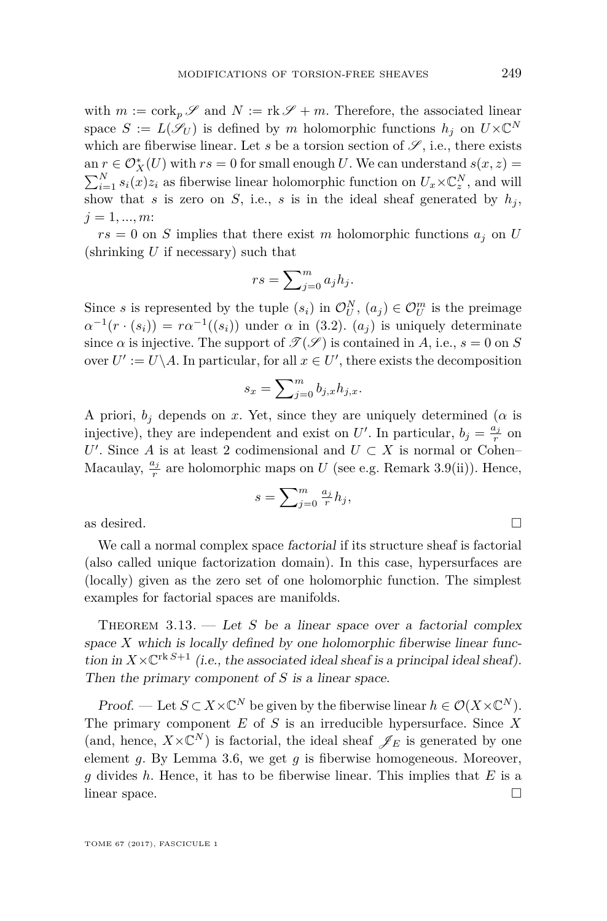with  $m := \text{cork}_p \mathscr{S}$  and  $N := \text{rk } \mathscr{S} + m$ . Therefore, the associated linear space  $S := L(\mathscr{S}_U)$  is defined by *m* holomorphic functions  $h_j$  on  $U \times \mathbb{C}^N$ which are fiberwise linear. Let  $s$  be a torsion section of  $\mathscr{S}$ , i.e., there exists an  $r \in \mathcal{O}_X^*(U)$  with  $rs = 0$  for small enough *U*. We can understand  $s(x, z) =$  $\sum_{i=1}^{N} s_i(x)z_i$  as fiberwise linear holomorphic function on  $U_x \times \mathbb{C}^N_z$ , and will show that *s* is zero on *S*, i.e., *s* is in the ideal sheaf generated by  $h_j$ ,  $j = 1, ..., m$ 

 $rs = 0$  on *S* implies that there exist *m* holomorphic functions  $a_j$  on *U* (shrinking *U* if necessary) such that

$$
rs = \sum_{j=0}^{m} a_j h_j.
$$

Since *s* is represented by the tuple  $(s_i)$  in  $\mathcal{O}_U^N$ ,  $(a_j) \in \mathcal{O}_U^m$  is the preimage  $\alpha^{-1}(r \cdot (s_i)) = r\alpha^{-1}((s_i))$  under  $\alpha$  in [\(3.2\)](#page-12-0).  $(a_j)$  is uniquely determinate since  $\alpha$  is injective. The support of  $\mathcal{T}(\mathcal{S})$  is contained in *A*, i.e.,  $s = 0$  on *S* over  $U' := U \backslash A$ . In particular, for all  $x \in U'$ , there exists the decomposition

$$
s_x = \sum_{j=0}^m b_{j,x} h_{j,x}.
$$

A priori,  $b_j$  depends on *x*. Yet, since they are uniquely determined ( $\alpha$  is injective), they are independent and exist on  $U'$ . In particular,  $b_j = \frac{a_j}{r}$  on *U*<sup> $'$ </sup>. Since *A* is at least 2 codimensional and  $U \subset X$  is normal or Cohen– Macaulay,  $\frac{a_j}{r}$  are holomorphic maps on *U* (see e.g. Remark [3.9\(](#page-11-2)ii)). Hence,

$$
s = \sum_{j=0}^{m} \frac{a_j}{r} h_j,
$$
 as desired.  $\square$ 

We call a normal complex space factorial if its structure sheaf is factorial (also called unique factorization domain). In this case, hypersurfaces are (locally) given as the zero set of one holomorphic function. The simplest examples for factorial spaces are manifolds.

<span id="page-13-0"></span>THEOREM  $3.13.$  — Let *S* be a linear space over a factorial complex space  $X$  which is locally defined by one holomorphic fiberwise linear function in  $X \times \mathbb{C}^{rk S+1}$  (i.e., the associated ideal sheaf is a principal ideal sheaf). Then the primary component of *S* is a linear space.

Proof. — Let  $S \subset X \times \mathbb{C}^N$  be given by the fiberwise linear  $h \in \mathcal{O}(X \times \mathbb{C}^N)$ . The primary component *E* of *S* is an irreducible hypersurface. Since *X* (and, hence,  $X \times \mathbb{C}^N$ ) is factorial, the ideal sheaf  $\mathscr{J}_E$  is generated by one element *g*. By Lemma [3.6,](#page-10-0) we get *g* is fiberwise homogeneous. Moreover, *g* divides *h*. Hence, it has to be fiberwise linear. This implies that *E* is a linear space.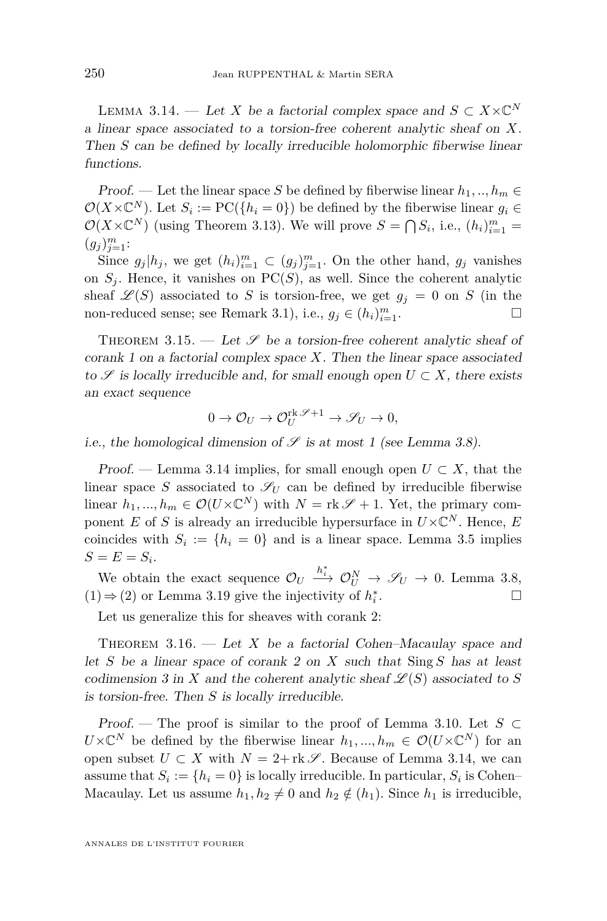<span id="page-14-0"></span>LEMMA 3.14. — Let *X* be a factorial complex space and  $S \subset X \times \mathbb{C}^N$ a linear space associated to a torsion-free coherent analytic sheaf on *X*. Then *S* can be defined by locally irreducible holomorphic fiberwise linear functions.

Proof. — Let the linear space *S* be defined by fiberwise linear  $h_1, ..., h_m \in$  $\mathcal{O}(X \times \mathbb{C}^N)$ . Let  $S_i := \text{PC}(\{h_i = 0\})$  be defined by the fiberwise linear  $g_i \in$  $\mathcal{O}(X \times \mathbb{C}^N)$  (using Theorem [3.13\)](#page-13-0). We will prove  $S = \bigcap S_i$ , i.e.,  $(h_i)_{i=1}^m =$  $(g_j)_{j=1}^m$ :

Since  $g_j | h_j$ , we get  $(h_i)_{i=1}^m \subset (g_j)_{j=1}^m$ . On the other hand,  $g_j$  vanishes on  $S_j$ . Hence, it vanishes on  $PC(S)$ , as well. Since the coherent analytic sheaf  $\mathscr{L}(S)$  associated to *S* is torsion-free, we get  $g_j = 0$  on *S* (in the non-reduced sense; see Remark [3.1\)](#page-7-1), i.e.,  $g_j \in (h_i)_{i=1}^m$ .

<span id="page-14-1"></span>THEOREM 3.15. — Let  $\mathscr S$  be a torsion-free coherent analytic sheaf of corank 1 on a factorial complex space *X*. Then the linear space associated to  $\mathscr S$  is locally irreducible and, for small enough open  $U \subset X$ , there exists an exact sequence

$$
0 \to \mathcal{O}_U \to \mathcal{O}_U^{\text{rk}\mathscr{S}+1} \to \mathscr{S}_U \to 0,
$$

i.e., the homological dimension of  $\mathscr S$  is at most 1 (see Lemma [3.8\)](#page-11-1).

Proof. — Lemma [3.14](#page-14-0) implies, for small enough open  $U \subset X$ , that the linear space *S* associated to  $\mathscr{S}_U$  can be defined by irreducible fiberwise linear  $h_1, ..., h_m \in \mathcal{O}(U \times \mathbb{C}^N)$  with  $N = \text{rk } \mathscr{S} + 1$ . Yet, the primary component *E* of *S* is already an irreducible hypersurface in  $U \times \mathbb{C}^N$ . Hence, *E* coincides with  $S_i := \{h_i = 0\}$  and is a linear space. Lemma [3.5](#page-9-1) implies  $S = E = S_i$ .

We obtain the exact sequence  $\mathcal{O}_U \xrightarrow{h_i^*} \mathcal{O}_U^N \to \mathcal{S}_U \to 0$ . Lemma [3.8,](#page-11-1)  $(1)\Rightarrow (2)$  or Lemma [3.19](#page-16-0) give the injectivity of  $h_i^*$ . — Процессиональные просто производства и продата и производства и производства и производства и производства<br>В 1990 году в 1990 году в 1990 году в 1990 году в 1990 году в 1990 году в 1990 году в 1990 году в 1990 году в<br>

Let us generalize this for sheaves with corank 2:

THEOREM 3.16. — Let X be a factorial Cohen–Macaulay space and let *S* be a linear space of corank 2 on *X* such that Sing *S* has at least codimension 3 in X and the coherent analytic sheaf  $\mathcal{L}(S)$  associated to S is torsion-free. Then *S* is locally irreducible.

Proof. — The proof is similar to the proof of Lemma [3.10.](#page-11-0) Let *S* ⊂  $U \times \mathbb{C}^N$  be defined by the fiberwise linear  $h_1, ..., h_m \in \mathcal{O}(U \times \mathbb{C}^N)$  for an open subset  $U \subset X$  with  $N = 2 + \text{rk } S$ . Because of Lemma [3.14,](#page-14-0) we can assume that  $S_i := \{h_i = 0\}$  is locally irreducible. In particular,  $S_i$  is Cohen– Macaulay. Let us assume  $h_1, h_2 \neq 0$  and  $h_2 \notin (h_1)$ . Since  $h_1$  is irreducible,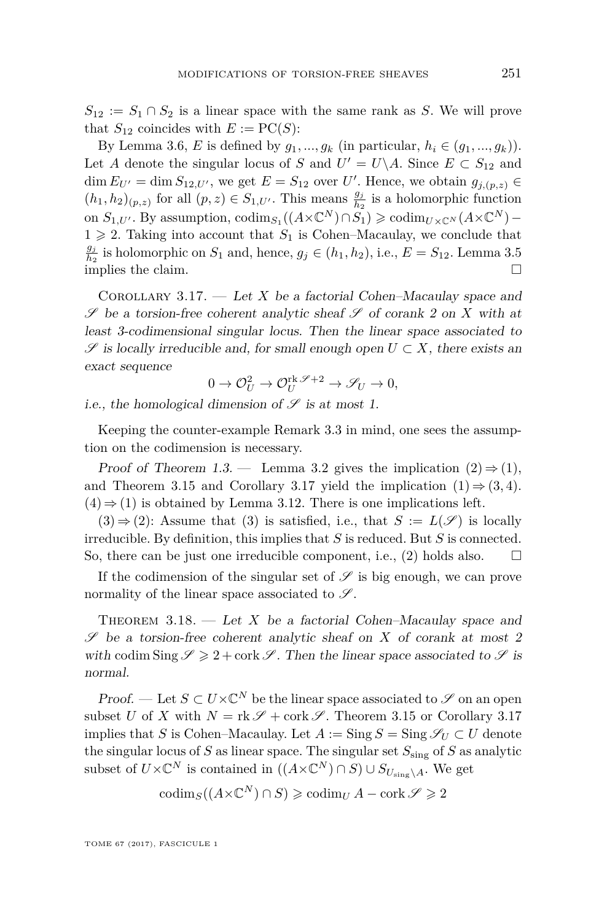$S_{12} := S_1 \cap S_2$  is a linear space with the same rank as *S*. We will prove that  $S_{12}$  coincides with  $E := \mathrm{PC}(S)$ :

By Lemma [3.6,](#page-10-0) *E* is defined by  $g_1, ..., g_k$  (in particular,  $h_i \in (g_1, ..., g_k)$ ). Let *A* denote the singular locus of *S* and  $U' = U \ A$ . Since  $E \subset S_{12}$  and  $\dim E_{U'} = \dim S_{12,U'}$ , we get  $E = S_{12}$  over *U'*. Hence, we obtain  $g_{j,(p,z)} \in$  $(h_1, h_2)_{(p,z)}$  for all  $(p, z) \in S_{1,U'}$ . This means  $\frac{g_j}{h_2}$  is a holomorphic function on  $S_{1,U'}$ . By assumption,  $\text{codim}_{S_1}((A \times \mathbb{C}^N) \cap S_1) \geq \text{codim}_{U \times \mathbb{C}^N} (A \times \mathbb{C}^N) 1 \geq 2$ . Taking into account that  $S_1$  is Cohen–Macaulay, we conclude that *gj*  $\frac{g_j}{h_2}$  is holomorphic on  $S_1$  and, hence,  $g_j \in (h_1, h_2)$ , i.e.,  $E = S_{12}$ . Lemma [3.5](#page-9-1) implies the claim.

<span id="page-15-1"></span>COROLLARY 3.17. — Let *X* be a factorial Cohen–Macaulay space and  $\mathscr S$  be a torsion-free coherent analytic sheaf  $\mathscr S$  of corank 2 on  $X$  with at least 3-codimensional singular locus. Then the linear space associated to  $\mathscr S$  is locally irreducible and, for small enough open *U* ⊂ *X*, there exists an exact sequence

$$
0 \to \mathcal{O}_U^2 \to \mathcal{O}_U^{\text{rk}\mathscr{S}+2} \to \mathscr{S}_U \to 0,
$$

i.e., the homological dimension of  $\mathscr S$  is at most 1.

Keeping the counter-example Remark [3.3](#page-8-0) in mind, one sees the assumption on the codimension is necessary.

Proof of Theorem [1.3.](#page-3-1) — Lemma [3.2](#page-7-0) gives the implication  $(2) \Rightarrow (1)$ , and Theorem [3.15](#page-14-1) and Corollary [3.17](#page-15-1) yield the implication  $(1) \Rightarrow (3, 4)$ .  $(4) \Rightarrow (1)$  is obtained by Lemma [3.12.](#page-12-1) There is one implications left.

 $(3) \Rightarrow (2)$ : Assume that (3) is satisfied, i.e., that  $S := L(\mathscr{S})$  is locally irreducible. By definition, this implies that *S* is reduced. But *S* is connected. So, there can be just one irreducible component, i.e., (2) holds also.

If the codimension of the singular set of  $\mathscr S$  is big enough, we can prove normality of the linear space associated to  $\mathscr{S}$ .

<span id="page-15-0"></span>THEOREM  $3.18.$  — Let *X* be a factorial Cohen–Macaulay space and S be a torsion-free coherent analytic sheaf on *X* of corank at most 2 with codim Sing  $\mathscr{S} \geqslant 2 + \mathrm{cork}\, \mathscr{S}$ . Then the linear space associated to  $\mathscr{S}$  is normal.

*Proof.* — Let  $S \subset U \times \mathbb{C}^N$  be the linear space associated to  $\mathscr S$  on an open subset *U* of *X* with  $N = \text{rk } \mathscr{S} + \text{cork } \mathscr{S}$ . Theorem [3.15](#page-14-1) or Corollary [3.17](#page-15-1) implies that *S* is Cohen–Macaulay. Let  $A := \text{Sing } S = \text{Sing } \mathscr{S}_U \subset U$  denote the singular locus of *S* as linear space. The singular set  $S_{\text{sing}}$  of *S* as analytic subset of  $U \times \mathbb{C}^N$  is contained in  $((A \times \mathbb{C}^N) \cap S) \cup S_{U_{\text{sing}} \setminus A}$ . We get

$$
\operatorname{codim}_S((A \times \mathbb{C}^N) \cap S) \geqslant \operatorname{codim}_U A - \operatorname{cork} \mathscr{S} \geqslant 2
$$

TOME 67 (2017), FASCICULE 1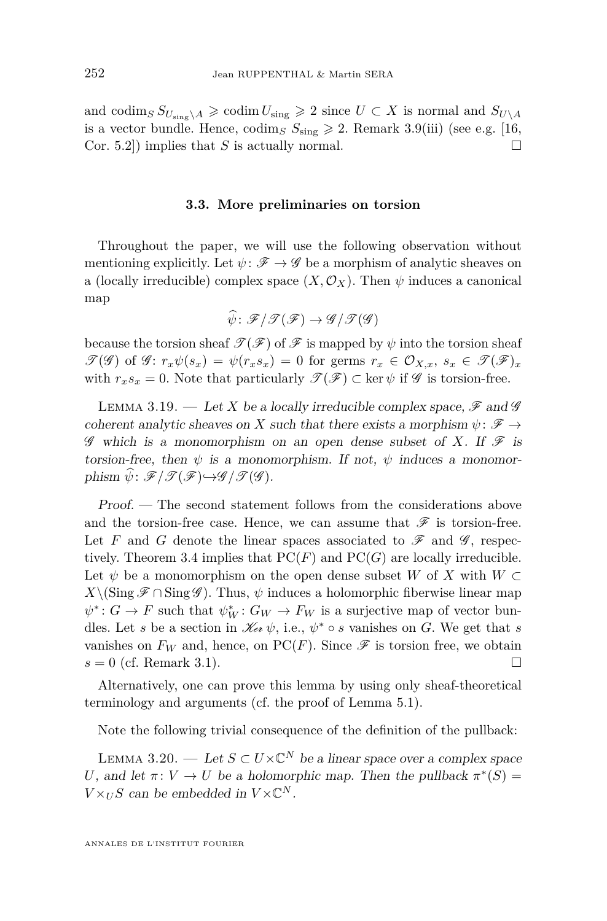and codim<sub>*S*</sub>  $S_{U_{\text{sing}}}\geqslant A \geqslant \text{codim } U_{\text{sing}} \geqslant 2$  since  $U \subset X$  is normal and  $S_{U \setminus A}$ is a vector bundle. Hence, codim<sub>*S*</sub>  $S_{\text{sing}} \geq 2$ . Remark [3.9\(](#page-11-2)iii) (see e.g. [\[16,](#page-29-12) Cor. 5.2]) implies that *S* is actually normal.

#### **3.3. More preliminaries on torsion**

Throughout the paper, we will use the following observation without mentioning explicitly. Let  $\psi \colon \mathscr{F} \to \mathscr{G}$  be a morphism of analytic sheaves on a (locally irreducible) complex space  $(X, \mathcal{O}_X)$ . Then  $\psi$  induces a canonical map

$$
\widehat{\psi}\colon \mathscr{F}/\mathscr{T}(\mathscr{F})\to \mathscr{G}/\mathscr{T}(\mathscr{G})
$$

because the torsion sheaf  $\mathcal{T}(\mathcal{F})$  of  $\mathcal{F}$  is mapped by  $\psi$  into the torsion sheaf  $\mathscr{T}(\mathscr{G})$  of  $\mathscr{G}: r_x\psi(s_x) = \psi(r_x s_x) = 0$  for germs  $r_x \in \mathcal{O}_{X,x}, s_x \in \mathscr{T}(\mathscr{F})_x$ with  $r_x s_x = 0$ . Note that particularly  $\mathscr{T}(\mathscr{F}) \subset \text{ker } \psi$  if  $\mathscr{G}$  is torsion-free.

<span id="page-16-0"></span>LEMMA 3.19. — Let *X* be a locally irreducible complex space,  $\mathscr{F}$  and  $\mathscr{G}$ coherent analytic sheaves on *X* such that there exists a morphism  $\psi \colon \mathscr{F} \to$  $\mathscr G$  which is a monomorphism on an open dense subset of X. If  $\mathscr F$  is torsion-free, then  $\psi$  is a monomorphism. If not,  $\psi$  induces a monomorphism  $\psi$ :  $\mathscr{F}/\mathscr{T}(\mathscr{F}) \rightarrow \mathscr{G}/\mathscr{T}(\mathscr{G})$ .

Proof. — The second statement follows from the considerations above and the torsion-free case. Hence, we can assume that  $\mathscr F$  is torsion-free. Let F and G denote the linear spaces associated to  $\mathscr F$  and  $\mathscr G$ , respec-tively. Theorem [3.4](#page-9-0) implies that  $PC(F)$  and  $PC(G)$  are locally irreducible. Let  $\psi$  be a monomorphism on the open dense subset *W* of *X* with  $W \subset$  $X\backslash(\text{Sing }\mathscr{F}\cap \text{Sing }\mathscr{G})$ . Thus,  $\psi$  induces a holomorphic fiberwise linear map  $\psi^*$ :  $G \to F$  such that  $\psi^*_{W}$ :  $G_W \to F_W$  is a surjective map of vector bundles. Let *s* be a section in  $\mathcal{K}_{e\ell} \psi$ , i.e.,  $\psi^* \circ s$  vanishes on *G*. We get that *s* vanishes on  $F_W$  and, hence, on PC(*F*). Since  $\mathscr F$  is torsion free, we obtain  $s = 0$  (cf. Remark [3.1\)](#page-7-1).

Alternatively, one can prove this lemma by using only sheaf-theoretical terminology and arguments (cf. the proof of Lemma [5.1\)](#page-19-0).

Note the following trivial consequence of the definition of the pullback:

<span id="page-16-1"></span>LEMMA 3.20. — Let  $S \subset U \times \mathbb{C}^N$  be a linear space over a complex space *U*, and let  $\pi: V \to U$  be a holomorphic map. Then the pullback  $\pi^*(S)$  =  $V \times_U S$  can be embedded in  $V \times \mathbb{C}^N$ .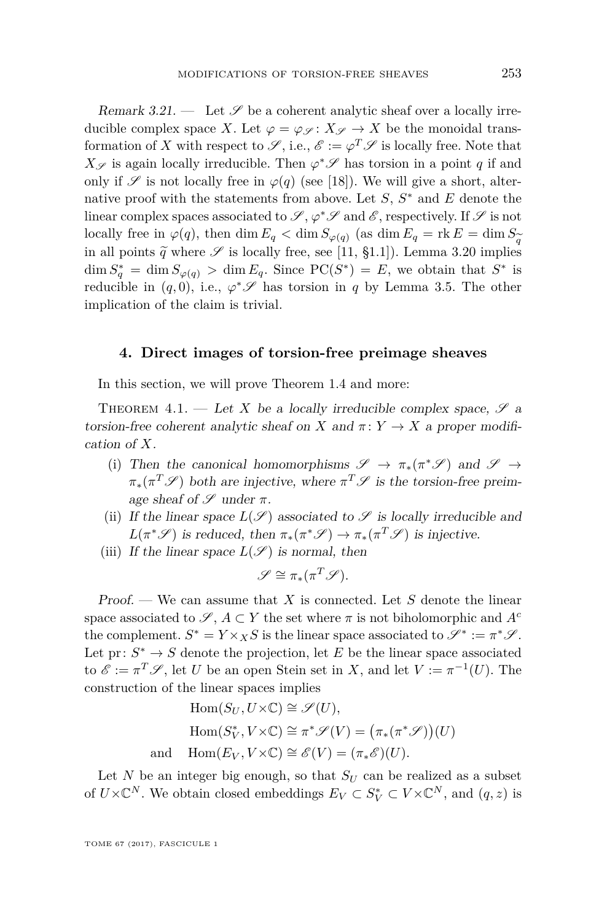<span id="page-17-0"></span>Remark 3.21.  $\qquad$  Let  $\mathscr S$  be a coherent analytic sheaf over a locally irreducible complex space *X*. Let  $\varphi = \varphi_{\mathscr{S}} : X_{\mathscr{S}} \to X$  be the monoidal transformation of *X* with respect to  $\mathscr{S}$ , i.e.,  $\mathscr{E} := \varphi^T \mathscr{S}$  is locally free. Note that *X*<sub>S</sub> is again locally irreducible. Then  $\varphi$ <sup>∗</sup>S<sup></sup> has torsion in a point *q* if and only if  $\mathscr S$  is not locally free in  $\varphi(q)$  (see [\[18\]](#page-29-2)). We will give a short, alternative proof with the statements from above. Let *S*, *S* <sup>∗</sup> and *E* denote the linear complex spaces associated to  $\mathscr{S}, \varphi^* \mathscr{S}$  and  $\mathscr{E}$ , respectively. If  $\mathscr{S}$  is not locally free in  $\varphi(q)$ , then dim  $E_q < \dim S_{\varphi(q)}$  (as dim  $E_q = \text{rk } E = \dim S_{\widetilde{Z}}$ in all points  $\tilde{q}$  where  $\mathscr S$  is locally free, see [\[11,](#page-29-1) §1.1]). Lemma [3.20](#page-16-1) implies  $\dim S_q^* = \dim S_{\varphi(q)} > \dim E_q$ . Since  $\text{PC}(S^*) = E$ , we obtain that  $S^*$  is reducible in  $(q, 0)$ , i.e.,  $\varphi^* \mathscr{S}$  has torsion in *q* by Lemma [3.5.](#page-9-1) The other implication of the claim is trivial.

#### <span id="page-17-2"></span>**4. Direct images of torsion-free preimage sheaves**

In this section, we will prove Theorem [1.4](#page-4-1) and more:

<span id="page-17-1"></span>THEOREM 4.1. — Let *X* be a locally irreducible complex space,  $\mathscr{S}$  a torsion-free coherent analytic sheaf on *X* and  $\pi: Y \to X$  a proper modification of *X*.

- (i) Then the canonical homomorphisms  $\mathscr{S} \to \pi_*(\pi^*\mathscr{S})$  and  $\mathscr{S} \to$  $\pi_*(\pi^T \mathscr{S})$  both are injective, where  $\pi^T \mathscr{S}$  is the torsion-free preimage sheaf of  $\mathscr S$  under  $\pi$ .
- (ii) If the linear space  $L(\mathscr{S})$  associated to  $\mathscr{S}$  is locally irreducible and  $L(\pi^* \mathscr{S})$  is reduced, then  $\pi_*(\pi^* \mathscr{S}) \to \pi_*(\pi^T \mathscr{S})$  is injective.
- (iii) If the linear space  $L(\mathscr{S})$  is normal, then

$$
\mathscr{S} \cong \pi_*(\pi^T \mathscr{S}).
$$

Proof. — We can assume that *X* is connected. Let *S* denote the linear space associated to  $\mathscr{S}, A \subset Y$  the set where  $\pi$  is not biholomorphic and  $A^c$ the complement.  $S^* = Y \times_X S$  is the linear space associated to  $\mathscr{S}^* := \pi^* \mathscr{S}$ . Let  $pr: S^* \to S$  denote the projection, let *E* be the linear space associated to  $\mathscr{E} := \pi^T \mathscr{S}$ , let *U* be an open Stein set in *X*, and let  $V := \pi^{-1}(U)$ . The construction of the linear spaces implies

$$
\text{Hom}(S_U, U \times \mathbb{C}) \cong \mathscr{S}(U),
$$
  
\n
$$
\text{Hom}(S_V^*, V \times \mathbb{C}) \cong \pi^* \mathscr{S}(V) = (\pi_*(\pi^* \mathscr{S})) (U)
$$
  
\nand 
$$
\text{Hom}(E_V, V \times \mathbb{C}) \cong \mathscr{E}(V) = (\pi_* \mathscr{E}) (U).
$$

Let *N* be an integer big enough, so that  $S_U$  can be realized as a subset of  $U\times\mathbb{C}^N$ . We obtain closed embeddings  $E_V\subset S_V^*\subset V\times\mathbb{C}^N$ , and  $(q, z)$  is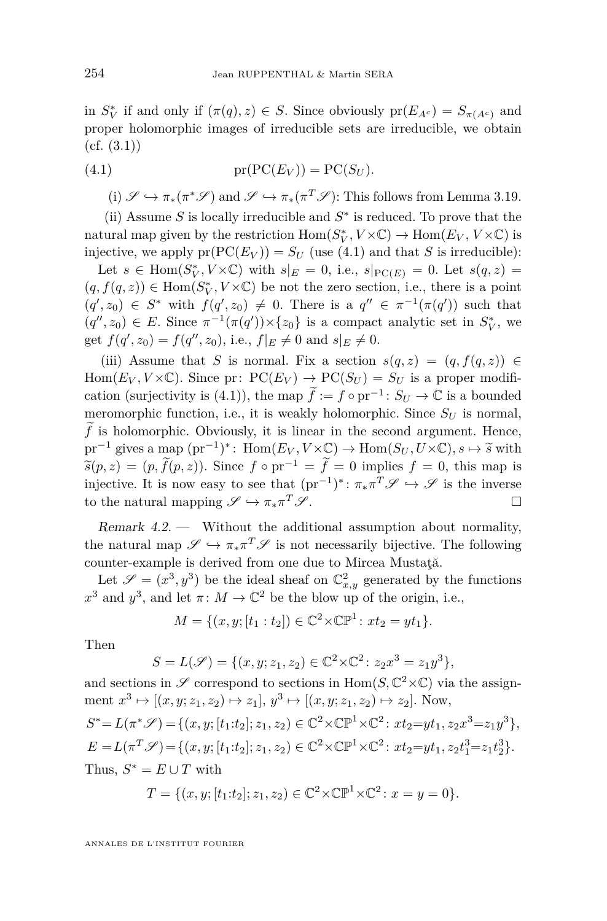in  $S_V^*$  if and only if  $(\pi(q), z) \in S$ . Since obviously  $pr(E_{A^c}) = S_{\pi(A^c)}$  and proper holomorphic images of irreducible sets are irreducible, we obtain  $(cf. (3.1))$  $(cf. (3.1))$  $(cf. (3.1))$ 

(4.1) 
$$
pr(PC(E_V)) = PC(S_U).
$$

<span id="page-18-1"></span>(i)  $\mathscr{S} \hookrightarrow \pi_*(\pi^* \mathscr{S})$  and  $\mathscr{S} \hookrightarrow \pi_*(\pi^T \mathscr{S})$ : This follows from Lemma [3.19.](#page-16-0)

(ii) Assume  $S$  is locally irreducible and  $S^*$  is reduced. To prove that the natural map given by the restriction  $Hom(S_V^*, V \times \mathbb{C}) \to Hom(E_V, V \times \mathbb{C})$  is injective, we apply  $pr(PC(E_V)) = S_U$  (use [\(4.1\)](#page-18-1) and that *S* is irreducible):

Let  $s \in \text{Hom}(S_V^*, V \times \mathbb{C})$  with  $s|_E = 0$ , i.e.,  $s|_{\text{PC}(E)} = 0$ . Let  $s(q, z) =$  $(q, f(q, z)) \in \text{Hom}(S_V^*, V \times \mathbb{C})$  be not the zero section, i.e., there is a point  $(q', z_0) \in S^*$  with  $f(q', z_0) \neq 0$ . There is a  $q'' \in \pi^{-1}(\pi(q'))$  such that  $(q'', z_0) \in E$ . Since  $\pi^{-1}(\pi(q')) \times \{z_0\}$  is a compact analytic set in  $S_V^*$ , we get  $f(q', z_0) = f(q'', z_0)$ , i.e.,  $f|_E \neq 0$  and  $s|_E \neq 0$ .

(iii) Assume that *S* is normal. Fix a section  $s(q, z) = (q, f(q, z)) \in$ Hom( $E_V, V \times \mathbb{C}$ ). Since pr:  $PC(E_V) \rightarrow PC(S_U) = S_U$  is a proper modifi-cation (surjectivity is [\(4.1\)](#page-18-1)), the map  $\widetilde{f} := f \circ pr^{-1} : S_U \to \mathbb{C}$  is a bounded meromorphic function, i.e., it is weakly holomorphic. Since  $S_U$  is normal,  $f$  is holomorphic. Obviously, it is linear in the second argument. Hence,  $pr^{-1}$  gives a map  $(pr^{-1})^*$ : Hom $(E_V, V \times \mathbb{C}) \to \text{Hom}(S_U, U \times \mathbb{C}), s \mapsto \widetilde{s}$  with  $\widetilde{s}(p, z) = (p, \widetilde{f}(p, z))$ . Since  $f \circ pr^{-1} = \widetilde{f} = 0$  implies  $f = 0$ , this map is injective. It is now easy to see that  $(pr^{-1})^*$ :  $\pi_* \pi^T \mathscr{S} \hookrightarrow \mathscr{S}$  is the inverse to the natural mapping  $\mathscr{S} \hookrightarrow \pi_* \pi^T \mathscr{S}$ .  $T \mathscr{S}$ .

<span id="page-18-0"></span>Remark  $4.2$ . Without the additional assumption about normality, the natural map  $\mathscr{S} \hookrightarrow \pi_* \pi^T \mathscr{S}$  is not necessarily bijective. The following counter-example is derived from one due to Mircea Mustaţă.

Let  $\mathscr{S} = (x^3, y^3)$  be the ideal sheaf on  $\mathbb{C}^2_{x,y}$  generated by the functions  $x^3$  and  $y^3$ , and let  $\pi: M \to \mathbb{C}^2$  be the blow up of the origin, i.e.,

$$
M = \{(x, y; [t_1 : t_2]) \in \mathbb{C}^2 \times \mathbb{CP}^1 : xt_2 = yt_1\}.
$$

Then

$$
S = L(\mathscr{S}) = \{ (x, y; z_1, z_2) \in \mathbb{C}^2 \times \mathbb{C}^2 : z_2 x^3 = z_1 y^3 \},
$$

and sections in  $\mathscr S$  correspond to sections in  $\text{Hom}(S, \mathbb C^2{\times}\mathbb C)$  via the assignment  $x^3 \mapsto [(x, y; z_1, z_2) \mapsto z_1], y^3 \mapsto [(x, y; z_1, z_2) \mapsto z_2].$  Now,  $S^* = L(\pi^* \mathscr{S}) = \{(x, y; [t_1:t_2]; z_1, z_2) \in \mathbb{C}^2 \times \mathbb{CP}^1 \times \mathbb{C}^2 : xt_2 = yt_1, z_2x^3 = z_1y^3\},\$  $E = L(\pi^T \mathscr{S}) = \{(x, y; [t_1:t_2]; z_1, z_2) \in \mathbb{C}^2 \times \mathbb{CP}^1 \times \mathbb{C}^2 : xt_2 = yt_1, z_2 t_1^3 = z_1 t_2^3\}.$ Thus,  $S^* = E \cup T$  with

$$
T = \{(x, y; [t_1:t_2]; z_1, z_2) \in \mathbb{C}^2 \times \mathbb{CP}^1 \times \mathbb{C}^2 : x = y = 0\}.
$$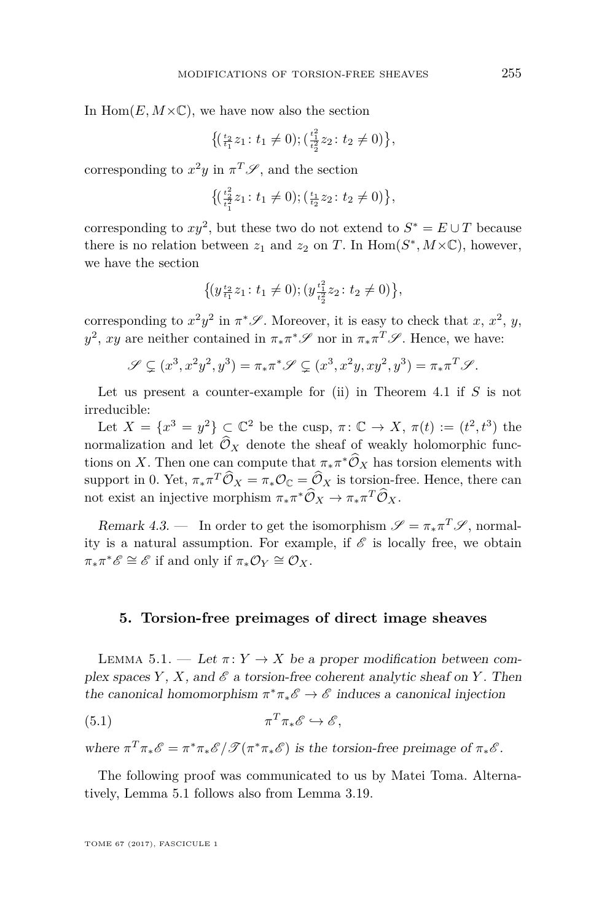In  $\text{Hom}(E, M \times \mathbb{C})$ , we have now also the section

$$
\left\{ \left( \frac{t_2}{t_1} z_1 : t_1 \neq 0 \right); \left( \frac{t_1^2}{t_2^2} z_2 : t_2 \neq 0 \right) \right\},\right\}
$$

corresponding to  $x^2y$  in  $\pi^T\mathscr{S}$ , and the section

$$
\left\{ \left( \frac{t_2^2}{t_1^2} z_1 : t_1 \neq 0 \right); \left( \frac{t_1}{t_2} z_2 : t_2 \neq 0 \right) \right\},\right\}
$$

corresponding to  $xy^2$ , but these two do not extend to  $S^* = E \cup T$  because there is no relation between  $z_1$  and  $z_2$  on *T*. In  $\text{Hom}(S^*, M \times \mathbb{C})$ , however, we have the section

$$
\{(y_{\frac{t_2}{t_1}}z_1: t_1 \neq 0); (y_{\frac{t_2^2}{t_2}}^{t_2^2}z_2: t_2 \neq 0)\},\
$$

corresponding to  $x^2y^2$  in  $\pi^*\mathscr{S}$ . Moreover, it is easy to check that *x*,  $x^2$ , *y*,  $y^2$ , *xy* are neither contained in  $\pi_* \pi^* \mathscr{S}$  nor in  $\pi_* \pi^T \mathscr{S}$ . Hence, we have:

$$
\mathscr{S} \subsetneq (x^3, x^2y^2, y^3) = \pi_* \pi^* \mathscr{S} \subsetneq (x^3, x^2y, xy^2, y^3) = \pi_* \pi^T \mathscr{S}.
$$

Let us present a counter-example for (ii) in Theorem [4.1](#page-17-1) if *S* is not irreducible:

Let  $X = \{x^3 = y^2\} \subset \mathbb{C}^2$  be the cusp,  $\pi: \mathbb{C} \to X$ ,  $\pi(t) := (t^2, t^3)$  the normalization and let  $\hat{\mathcal{O}}_X$  denote the sheaf of weakly holomorphic functions on *X*. Then one can compute that  $\pi_* \pi^* \hat{\mathcal{O}}_X$  has torsion elements with support in 0. Yet,  $\pi_* \pi^T \hat{\mathcal{O}}_X = \pi_* \mathcal{O}_{\mathbb{C}} = \hat{\mathcal{O}}_X$  is torsion-free. Hence, there can not exist an injective morphism  $\pi_* \pi^* \widehat{\mathcal{O}}_X \to \pi_* \pi^T \widehat{\mathcal{O}}_X$ .

Remark 4.3. — In order to get the isomorphism  $\mathscr{S} = \pi_* \pi^T \mathscr{S}$ , normality is a natural assumption. For example, if  $\mathscr E$  is locally free, we obtain  $\pi_* \pi^* \mathscr{E} \cong \mathscr{E}$  if and only if  $\pi_* \mathcal{O}_Y \cong \mathcal{O}_X$ .

#### <span id="page-19-2"></span><span id="page-19-1"></span>**5. Torsion-free preimages of direct image sheaves**

<span id="page-19-0"></span>LEMMA 5.1. — Let  $\pi: Y \to X$  be a proper modification between complex spaces *Y*, *X*, and  $\mathscr E$  a torsion-free coherent analytic sheaf on *Y*. Then the canonical homomorphism  $\pi^* \pi_* \mathscr{E} \to \mathscr{E}$  induces a canonical injection

$$
(5.1) \t\t \pi^T \pi_* \mathscr{E} \hookrightarrow \mathscr{E},
$$

where  $\pi^T \pi_* \mathscr{E} = \pi^* \pi_* \mathscr{E} / \mathscr{T} (\pi^* \pi_* \mathscr{E})$  is the torsion-free preimage of  $\pi_* \mathscr{E}$ .

The following proof was communicated to us by Matei Toma. Alternatively, Lemma [5.1](#page-19-0) follows also from Lemma [3.19.](#page-16-0)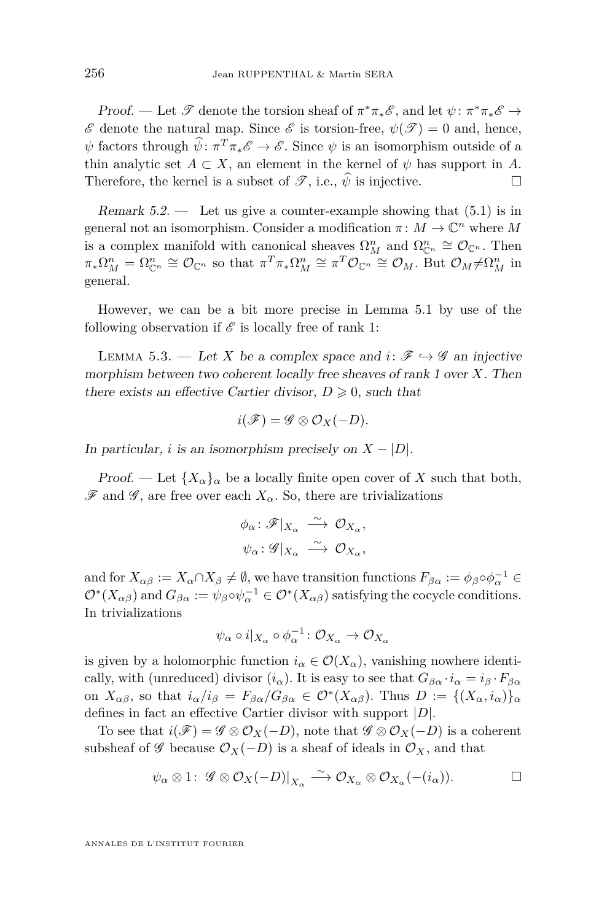Proof. — Let  $\mathscr T$  denote the torsion sheaf of  $\pi^*\pi_*\mathscr E$ , and let  $\psi: \pi^*\pi_*\mathscr E \to$  $\mathscr E$  denote the natural map. Since  $\mathscr E$  is torsion-free,  $\psi(\mathscr T)=0$  and, hence,  $\psi$  factors through  $\psi$ :  $\pi^T \pi_* \mathscr{E} \to \mathscr{E}$ . Since  $\psi$  is an isomorphism outside of a thin analytic set  $A \subset X$ , an element in the kernel of  $\psi$  has support in *A*. Therefore, the kernel is a subset of  $\mathscr{T}$ , i.e.,  $\hat{\psi}$  is injective.

<span id="page-20-0"></span>Remark  $5.2$  — Let us give a counter-example showing that  $(5.1)$  is in general not an isomorphism. Consider a modification  $\pi \colon M \to \mathbb{C}^n$  where M is a complex manifold with canonical sheaves  $\Omega_M^n$  and  $\Omega_{\mathbb{C}^n}^n \cong \mathcal{O}_{\mathbb{C}^n}$ . Then  $\pi_* \Omega_M^n = \Omega_{\mathbb{C}^n}^n \cong \mathcal{O}_{\mathbb{C}^n}$  so that  $\pi^T \pi_* \Omega_M^n \cong \pi^T \mathcal{O}_{\mathbb{C}^n} \cong \mathcal{O}_M$ . But  $\mathcal{O}_M \neq \Omega_M^n$  in general.

However, we can be a bit more precise in Lemma [5.1](#page-19-0) by use of the following observation if  $\mathscr E$  is locally free of rank 1:

LEMMA 5.3. — Let *X* be a complex space and  $i: \mathscr{F} \hookrightarrow \mathscr{G}$  an injective morphism between two coherent locally free sheaves of rank 1 over *X*. Then there exists an effective Cartier divisor,  $D \geq 0$ , such that

$$
i(\mathscr{F})=\mathscr{G}\otimes\mathcal{O}_X(-D).
$$

In particular, *i* is an isomorphism precisely on  $X - |D|$ .

Proof. — Let  ${X_\alpha}_\alpha$  be a locally finite open cover of X such that both,  $\mathscr F$  and  $\mathscr G$ , are free over each  $X_\alpha$ . So, there are trivializations

$$
\begin{aligned}\n\phi_{\alpha} &\colon \mathscr{F}|_{X_{\alpha}} \stackrel{\sim}{\longrightarrow} \mathcal{O}_{X_{\alpha}}, \\
\psi_{\alpha} &\colon \mathscr{G}|_{X_{\alpha}} \stackrel{\sim}{\longrightarrow} \mathcal{O}_{X_{\alpha}},\n\end{aligned}
$$

and for  $X_{\alpha\beta} := X_{\alpha} \cap X_{\beta} \neq \emptyset$ , we have transition functions  $F_{\beta\alpha} := \phi_{\beta} \circ \phi_{\alpha}^{-1} \in$  $\mathcal{O}^*(X_{\alpha\beta})$  and  $G_{\beta\alpha} := \psi_{\beta} \circ \psi_{\alpha}^{-1} \in \mathcal{O}^*(X_{\alpha\beta})$  satisfying the cocycle conditions. In trivializations

$$
\psi_{\alpha} \circ i|_{X_{\alpha}} \circ \phi_{\alpha}^{-1} \colon \mathcal{O}_{X_{\alpha}} \to \mathcal{O}_{X_{\alpha}}
$$

is given by a holomorphic function  $i_{\alpha} \in \mathcal{O}(X_{\alpha})$ , vanishing nowhere identically, with (unreduced) divisor  $(i_\alpha)$ . It is easy to see that  $G_{\beta\alpha} \cdot i_\alpha = i_\beta \cdot F_{\beta\alpha}$ on  $X_{\alpha\beta}$ , so that  $i_{\alpha}/i_{\beta} = F_{\beta\alpha}/G_{\beta\alpha} \in \mathcal{O}^*(X_{\alpha\beta})$ . Thus  $D := \{(X_{\alpha}, i_{\alpha})\}_{\alpha}$ defines in fact an effective Cartier divisor with support |*D*|.

To see that  $i(\mathscr{F}) = \mathscr{G} \otimes \mathcal{O}_X(-D)$ , note that  $\mathscr{G} \otimes \mathcal{O}_X(-D)$  is a coherent subsheaf of  $\mathscr G$  because  $\mathcal O_X(-D)$  is a sheaf of ideals in  $\mathcal O_X$ , and that

$$
\psi_{\alpha} \otimes 1: \mathscr{G} \otimes \mathcal{O}_X(-D)|_{X_{\alpha}} \xrightarrow{\sim} \mathcal{O}_{X_{\alpha}} \otimes \mathcal{O}_{X_{\alpha}}(-(i_{\alpha})).\square
$$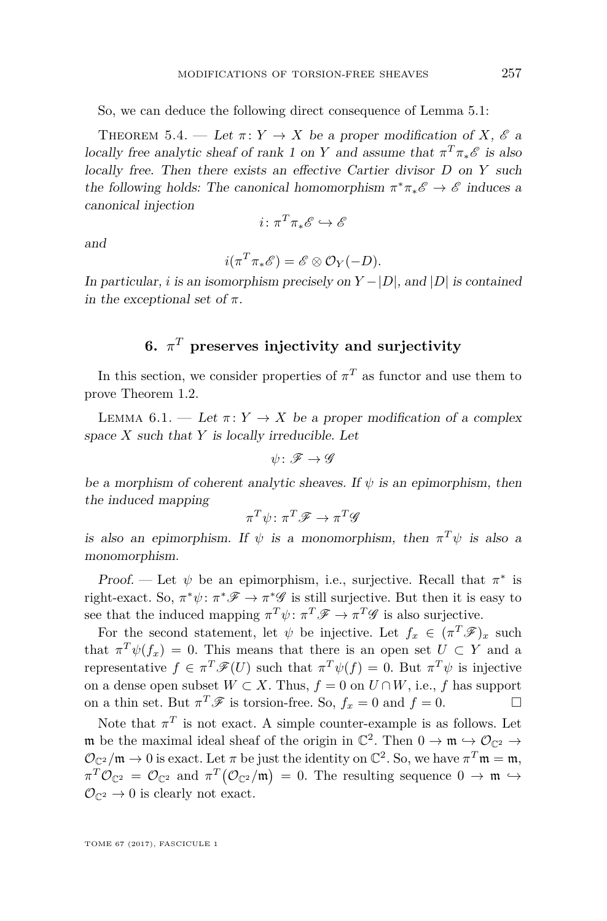So, we can deduce the following direct consequence of Lemma [5.1:](#page-19-0)

<span id="page-21-2"></span>THEOREM 5.4. — Let  $\pi: Y \to X$  be a proper modification of *X*,  $\mathscr E$  a locally free analytic sheaf of rank 1 on *Y* and assume that  $\pi^T \pi_* \mathcal{E}$  is also locally free. Then there exists an effective Cartier divisor *D* on *Y* such the following holds: The canonical homomorphism  $\pi^* \pi_* \mathscr{E} \to \mathscr{E}$  induces a canonical injection

$$
i\colon \pi^T\pi_*\mathscr{E}\hookrightarrow \mathscr{E}
$$

and

$$
i(\pi^T \pi_* \mathscr{E}) = \mathscr{E} \otimes \mathcal{O}_Y(-D).
$$

In particular, *i* is an isomorphism precisely on  $Y - |D|$ , and  $|D|$  is contained in the exceptional set of  $\pi$ .

#### **6.** *π <sup>T</sup>* **preserves injectivity and surjectivity**

<span id="page-21-1"></span>In this section, we consider properties of  $\pi^T$  as functor and use them to prove Theorem [1.2.](#page-3-0)

<span id="page-21-0"></span>LEMMA 6.1. — Let  $\pi: Y \to X$  be a proper modification of a complex space *X* such that *Y* is locally irreducible. Let

$$
\psi\colon \mathscr{F} \to \mathscr{G}
$$

be a morphism of coherent analytic sheaves. If  $\psi$  is an epimorphism, then the induced mapping

$$
\pi^T\psi\colon\pi^T\mathscr{F}\to\pi^T\mathscr{G}
$$

is also an epimorphism. If  $\psi$  is a monomorphism, then  $\pi^T \psi$  is also a monomorphism.

Proof. — Let  $\psi$  be an epimorphism, i.e., surjective. Recall that  $\pi^*$  is right-exact. So,  $\pi^*\psi: \pi^*\mathscr{F} \to \pi^*\mathscr{G}$  is still surjective. But then it is easy to see that the induced mapping  $\pi^T \psi : \pi^T \mathscr{F} \to \pi^T \mathscr{G}$  is also surjective.

For the second statement, let  $\psi$  be injective. Let  $f_x \in (\pi^T \mathscr{F})_x$  such that  $\pi^T \psi(f_x) = 0$ . This means that there is an open set  $U \subset Y$  and a representative  $f \in \pi^T \mathscr{F}(U)$  such that  $\pi^T \psi(f) = 0$ . But  $\pi^T \psi$  is injective on a dense open subset  $W \subset X$ . Thus,  $f = 0$  on  $U \cap W$ , i.e., f has support on a thin set. But  $\pi^T \mathscr{F}$  is torsion-free. So,  $f_x = 0$  and  $f = 0$ .

Note that  $\pi^T$  is not exact. A simple counter-example is as follows. Let m be the maximal ideal sheaf of the origin in  $\mathbb{C}^2$ . Then  $0 \to \mathfrak{m} \hookrightarrow \mathcal{O}_{\mathbb{C}^2} \to$  $\mathcal{O}_{\mathbb{C}^2}/\mathfrak{m} \to 0$  is exact. Let  $\pi$  be just the identity on  $\mathbb{C}^2$ . So, we have  $\pi^T \mathfrak{m} = \mathfrak{m}$ ,  $\pi^T \mathcal{O}_{\mathbb{C}^2} = \mathcal{O}_{\mathbb{C}^2}$  and  $\pi^T (\mathcal{O}_{\mathbb{C}^2}/\mathfrak{m}) = 0$ . The resulting sequence  $0 \to \mathfrak{m} \to \mathfrak{m}$  $\mathcal{O}_{\mathbb{C}^2} \to 0$  is clearly not exact.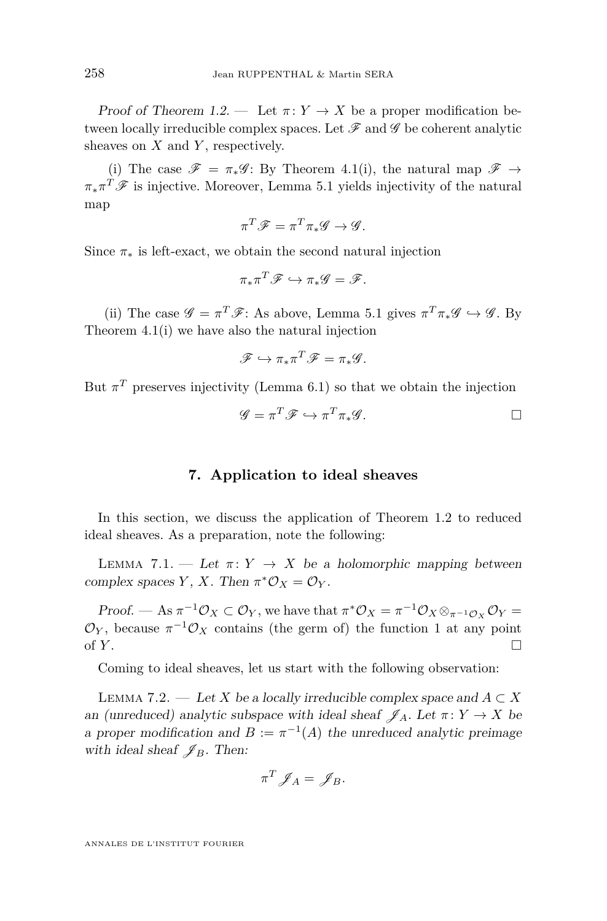Proof of Theorem [1.2.](#page-3-0) — Let  $\pi: Y \to X$  be a proper modification between locally irreducible complex spaces. Let  $\mathscr F$  and  $\mathscr G$  be coherent analytic sheaves on *X* and *Y* , respectively.

(i) The case  $\mathscr{F} = \pi_* \mathscr{G}$ : By Theorem [4.1\(](#page-17-1)i), the natural map  $\mathscr{F} \to$  $\pi_* \pi^T \mathscr{F}$  is injective. Moreover, Lemma [5.1](#page-19-0) yields injectivity of the natural map

$$
\pi^T \mathscr{F} = \pi^T \pi_* \mathscr{G} \to \mathscr{G}.
$$

Since  $\pi_*$  is left-exact, we obtain the second natural injection

$$
\pi_* \pi^T \mathscr{F} \hookrightarrow \pi_* \mathscr{G} = \mathscr{F}.
$$

(ii) The case  $\mathscr{G} = \pi^T \mathscr{F}$ : As above, Lemma [5.1](#page-19-0) gives  $\pi^T \pi_* \mathscr{G} \hookrightarrow \mathscr{G}$ . By Theorem [4.1\(](#page-17-1)i) we have also the natural injection

$$
\mathscr{F} \hookrightarrow \pi_* \pi^T \mathscr{F} = \pi_* \mathscr{G}.
$$

But  $\pi^T$  preserves injectivity (Lemma [6.1\)](#page-21-0) so that we obtain the injection

$$
\mathscr{G} = \pi^T \mathscr{F} \hookrightarrow \pi^T \pi_* \mathscr{G}.
$$

#### **7. Application to ideal sheaves**

<span id="page-22-1"></span>In this section, we discuss the application of Theorem [1.2](#page-3-0) to reduced ideal sheaves. As a preparation, note the following:

<span id="page-22-2"></span>LEMMA 7.1. — Let  $\pi: Y \to X$  be a holomorphic mapping between complex spaces *Y*, *X*. Then  $\pi^* \mathcal{O}_X = \mathcal{O}_Y$ .

Proof. — As  $\pi^{-1}\mathcal{O}_X \subset \mathcal{O}_Y$ , we have that  $\pi^*\mathcal{O}_X = \pi^{-1}\mathcal{O}_X \otimes_{\pi^{-1}\mathcal{O}_X} \mathcal{O}_Y =$  $\mathcal{O}_Y$ , because  $\pi^{-1}\mathcal{O}_X$  contains (the germ of) the function 1 at any point of  $Y$ .

Coming to ideal sheaves, let us start with the following observation:

<span id="page-22-0"></span>LEMMA 7.2. — Let *X* be a locally irreducible complex space and  $A \subset X$ an (unreduced) analytic subspace with ideal sheaf  $\mathscr{J}_A$ . Let  $\pi: Y \to X$  be a proper modification and  $B := \pi^{-1}(A)$  the unreduced analytic preimage with ideal sheaf  $\mathscr{J}_B$ . Then:

$$
\pi^T \mathscr{J}_A = \mathscr{J}_B.
$$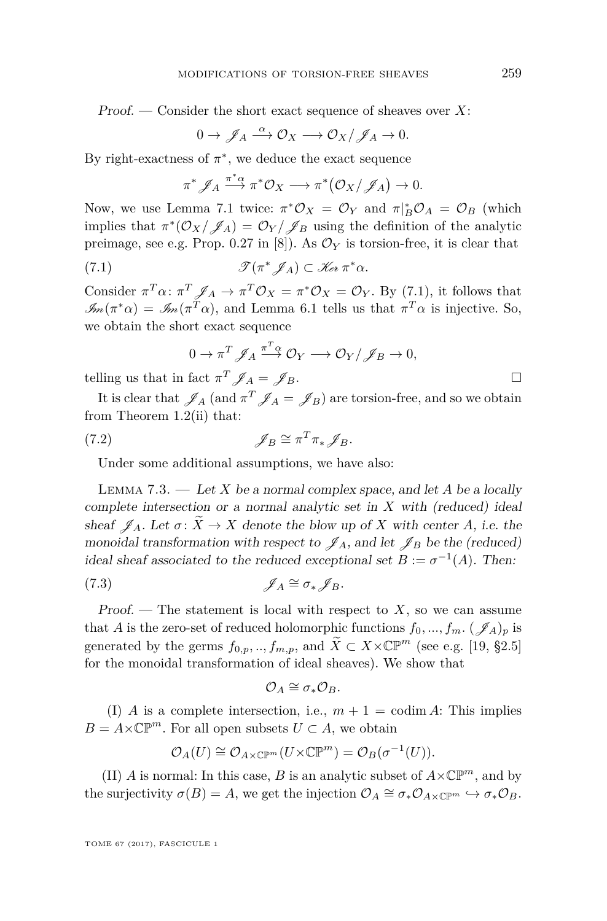Proof. — Consider the short exact sequence of sheaves over *X*:

$$
0 \to \mathscr{J}_A \stackrel{\alpha}{\longrightarrow} \mathcal{O}_X \longrightarrow \mathcal{O}_X/\mathscr{J}_A \to 0.
$$

By right-exactness of  $\pi^*$ , we deduce the exact sequence

<span id="page-23-1"></span>
$$
\pi^* \mathscr{J}_A \xrightarrow{\pi^* \alpha} \pi^* \mathcal{O}_X \longrightarrow \pi^* \big(\mathcal{O}_X / \mathscr{J}_A \big) \to 0.
$$

Now, we use Lemma [7.1](#page-22-2) twice:  $\pi^* \mathcal{O}_X = \mathcal{O}_Y$  and  $\pi|_B^* \mathcal{O}_A = \mathcal{O}_B$  (which implies that  $\pi^*(\mathcal{O}_X/\mathcal{J}_A) = \mathcal{O}_Y/\mathcal{J}_B$  using the definition of the analytic preimage, see e.g. Prop. 0.27 in [\[8\]](#page-28-8)). As  $\mathcal{O}_Y$  is torsion-free, it is clear that

(7.1) 
$$
\mathscr{T}(\pi^*\mathscr{J}_A) \subset \mathscr{K}_{e^*}\pi^*\alpha.
$$

Consider  $\pi^T \alpha$ :  $\pi^T \mathscr{J}_A \to \pi^T \mathcal{O}_X = \pi^* \mathcal{O}_X = \mathcal{O}_Y$ . By [\(7.1\)](#page-23-1), it follows that  $\mathcal{M}(\pi^*\alpha) = \mathcal{M}(\pi^T\alpha)$ , and Lemma [6.1](#page-21-0) tells us that  $\pi^T\alpha$  is injective. So, we obtain the short exact sequence

$$
0 \to \pi^T \mathscr{J}_A \xrightarrow{\pi^T \alpha} \mathcal{O}_Y \longrightarrow \mathcal{O}_Y / \mathscr{J}_B \to 0,
$$

telling us that in fact  $\pi^T \mathscr{J}_A = \mathscr{J}_B$ .

It is clear that  $\mathscr{J}_A$  (and  $\pi^T \mathscr{J}_A = \mathscr{J}_B$ ) are torsion-free, and so we obtain from Theorem [1.2\(](#page-3-0)ii) that:

(7.2) 
$$
\mathscr{J}_B \cong \pi^T \pi_* \mathscr{J}_B.
$$

Under some additional assumptions, we have also:

<span id="page-23-0"></span>Lemma 7.3. — Let *X* be a normal complex space, and let *A* be a locally complete intersection or a normal analytic set in *X* with (reduced) ideal sheaf  $\mathscr{J}_A$ . Let  $\sigma: \widetilde{X} \to X$  denote the blow up of *X* with center *A*, i.e. the monoidal transformation with respect to  $\mathscr{J}_A$ , and let  $\mathscr{J}_B$  be the (reduced) ideal sheaf associated to the reduced exceptional set  $B := \sigma^{-1}(A)$ . Then:

$$
(7.3) \t\t \t\t \mathscr{J}_A \cong \sigma_* \mathscr{J}_B.
$$

Proof.  $\Gamma$  The statement is local with respect to X, so we can assume that *A* is the zero-set of reduced holomorphic functions  $f_0, ..., f_m$ . ( $\mathscr{J}_A$ )*p* is generated by the germs  $f_{0,p},..., f_{m,p}$ , and  $\widetilde{X} \subset X \times \mathbb{CP}^m$  (see e.g. [\[19,](#page-29-4) §2.5] for the monoidal transformation of ideal sheaves). We show that

$$
\mathcal{O}_A \cong \sigma_* \mathcal{O}_B.
$$

(I) *A* is a complete intersection, i.e.,  $m + 1 = \text{codim } A$ : This implies  $B = A \times \mathbb{CP}^m$ . For all open subsets  $U \subset A$ , we obtain

$$
\mathcal{O}_A(U) \cong \mathcal{O}_{A \times \mathbb{CP}^m}(U \times \mathbb{CP}^m) = \mathcal{O}_B(\sigma^{-1}(U)).
$$

(II) *A* is normal: In this case, *B* is an analytic subset of  $A \times \mathbb{CP}^m$ , and by the surjectivity  $\sigma(B) = A$ , we get the injection  $\mathcal{O}_A \cong \sigma_* \mathcal{O}_{A \times \mathbb{C}\mathbb{P}^m} \hookrightarrow \sigma_* \mathcal{O}_B$ .

TOME 67 (2017), FASCICULE 1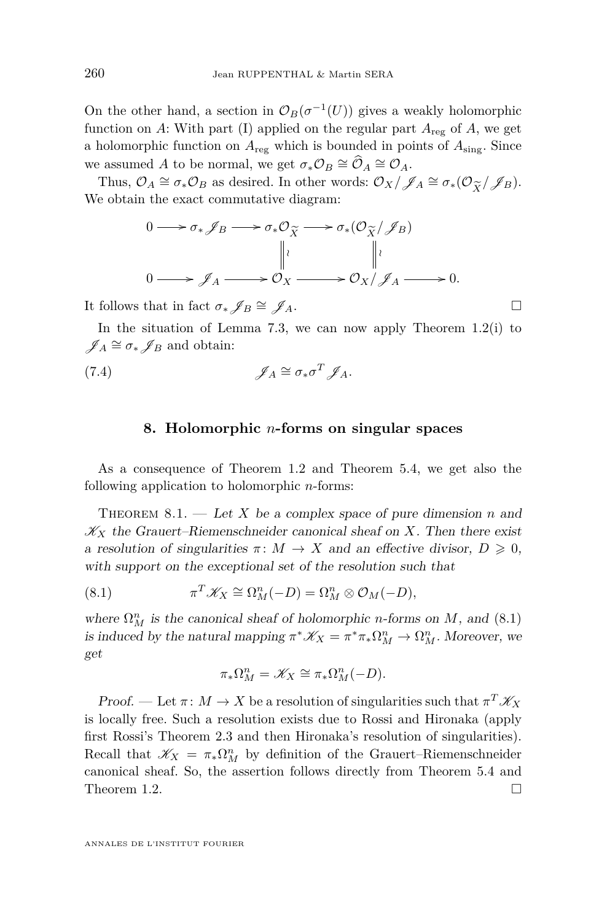On the other hand, a section in  $\mathcal{O}_B(\sigma^{-1}(U))$  gives a weakly holomorphic function on *A*: With part (I) applied on the regular part  $A_{reg}$  of  $A$ , we get a holomorphic function on *A*reg which is bounded in points of *A*sing. Since we assumed *A* to be normal, we get  $\sigma_* \mathcal{O}_B \cong \widehat{\mathcal{O}}_A \cong \mathcal{O}_A$ .

Thus,  $\mathcal{O}_A \cong \sigma_* \mathcal{O}_B$  as desired. In other words:  $\mathcal{O}_X/\mathcal{J}_A \cong \sigma_*(\mathcal{O}_{\widetilde{X}}/\mathcal{J}_B)$ .<br>
e obtain the exact commutative diagram: We obtain the exact commutative diagram:

$$
0 \longrightarrow \sigma_* \mathcal{J}_B \longrightarrow \sigma_* \mathcal{O}_{\widetilde{X}} \longrightarrow \sigma_*(\mathcal{O}_{\widetilde{X}}/\mathcal{J}_B)
$$
  
\n
$$
\parallel \cdot \parallel \cdot \parallel \cdot
$$
  
\n
$$
0 \longrightarrow \mathcal{J}_A \longrightarrow \mathcal{O}_X \longrightarrow \mathcal{O}_X/\mathcal{J}_A \longrightarrow 0.
$$

It follows that in fact  $\sigma_*\mathscr{J}_B \cong \mathscr{J}_A$ .

In the situation of Lemma [7.3,](#page-23-0) we can now apply Theorem [1.2\(](#page-3-0)i) to  $\mathscr{J}_A \cong \sigma_* \mathscr{J}_B$  and obtain:

(7.4) 
$$
\mathscr{J}_A \cong \sigma_* \sigma^T \mathscr{J}_A.
$$

#### **8. Holomorphic** *n***-forms on singular spaces**

<span id="page-24-1"></span>As a consequence of Theorem [1.2](#page-3-0) and Theorem [5.4,](#page-21-2) we get also the following application to holomorphic *n*-forms:

<span id="page-24-0"></span>THEOREM  $8.1.$  — Let X be a complex space of pure dimension *n* and  $\mathscr{K}_X$  the Grauert–Riemenschneider canonical sheaf on *X*. Then there exist a resolution of singularities  $\pi \colon M \to X$  and an effective divisor,  $D \geq 0$ , with support on the exceptional set of the resolution such that

(8.1) 
$$
\pi^T \mathscr{K}_X \cong \Omega^n_M(-D) = \Omega^n_M \otimes \mathcal{O}_M(-D),
$$

where  $\Omega_M^n$  is the canonical sheaf of holomorphic *n*-forms on *M*, and [\(8.1\)](#page-24-2) is induced by the natural mapping  $\pi^* \mathscr{K}_X = \pi^* \pi_* \Omega^n_M \to \Omega^n_M$ . Moreover, we get

<span id="page-24-2"></span>
$$
\pi_* \Omega^n_M = \mathscr{K}_X \cong \pi_* \Omega^n_M (-D).
$$

Proof. — Let  $\pi: M \to X$  be a resolution of singularities such that  $\pi^T \mathscr{K}_X$ is locally free. Such a resolution exists due to Rossi and Hironaka (apply first Rossi's Theorem [2.3](#page-6-1) and then Hironaka's resolution of singularities). Recall that  $\mathscr{K}_X = \pi_* \Omega^n_M$  by definition of the Grauert–Riemenschneider canonical sheaf. So, the assertion follows directly from Theorem [5.4](#page-21-2) and Theorem [1.2.](#page-3-0)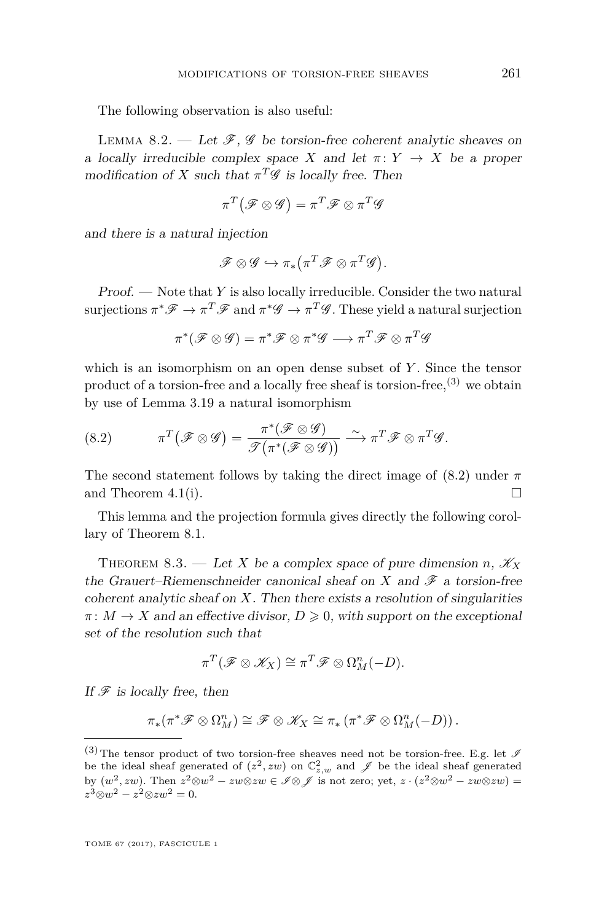The following observation is also useful:

LEMMA 8.2. — Let  $\mathscr{F}, \mathscr{G}$  be torsion-free coherent analytic sheaves on a locally irreducible complex space *X* and let  $\pi: Y \to X$  be a proper modification of *X* such that  $\pi^T \mathscr{G}$  is locally free. Then

$$
\pi^T\big(\mathscr{F}\otimes\mathscr{G}\big)=\pi^T\mathscr{F}\otimes\pi^T\mathscr{G}
$$

and there is a natural injection

$$
\mathscr{F} \otimes \mathscr{G} \hookrightarrow \pi_*(\pi^T \mathscr{F} \otimes \pi^T \mathscr{G}).
$$

Proof. — Note that *Y* is also locally irreducible. Consider the two natural surjections  $\pi^* \mathscr{F} \to \pi^T \mathscr{F}$  and  $\pi^* \mathscr{G} \to \pi^T \mathscr{G}$ . These yield a natural surjection

$$
\pi^*(\mathscr{F} \otimes \mathscr{G}) = \pi^*\mathscr{F} \otimes \pi^*\mathscr{G} \longrightarrow \pi^T\mathscr{F} \otimes \pi^T\mathscr{G}
$$

which is an isomorphism on an open dense subset of *Y* . Since the tensor product of a torsion-free and a locally free sheaf is torsion-free,(3) we obtain by use of Lemma [3.19](#page-16-0) a natural isomorphism

<span id="page-25-1"></span>(8.2) 
$$
\pi^T(\mathscr{F}\otimes\mathscr{G})=\frac{\pi^*(\mathscr{F}\otimes\mathscr{G})}{\mathscr{T}(\pi^*(\mathscr{F}\otimes\mathscr{G}))}\xrightarrow{\sim}\pi^T\mathscr{F}\otimes\pi^T\mathscr{G}.
$$

The second statement follows by taking the direct image of  $(8.2)$  under  $\pi$ and Theorem [4.1\(](#page-17-1)i).  $\Box$ 

This lemma and the projection formula gives directly the following corollary of Theorem [8.1.](#page-24-0)

<span id="page-25-0"></span>THEOREM 8.3. — Let *X* be a complex space of pure dimension *n*,  $\mathcal{K}_X$ the Grauert–Riemenschneider canonical sheaf on  $X$  and  $\mathscr F$  a torsion-free coherent analytic sheaf on *X*. Then there exists a resolution of singularities  $\pi: M \to X$  and an effective divisor,  $D \geq 0$ , with support on the exceptional set of the resolution such that

$$
\pi^T(\mathscr{F}\otimes\mathscr{K}_X)\cong \pi^T\mathscr{F}\otimes\Omega^n_M(-D).
$$

If  $\mathscr F$  is locally free, then

$$
\pi_*(\pi^*\mathscr{F}\otimes \Omega^n_M)\cong \mathscr{F}\otimes \mathscr{K}_X\cong \pi_*\left(\pi^*\mathscr{F}\otimes \Omega^n_M(-D)\right).
$$

<sup>(3)</sup> The tensor product of two torsion-free sheaves need not be torsion-free. E.g. let  $\mathscr I$ be the ideal sheaf generated of  $(z^2, zw)$  on  $\mathbb{C}^2_{z,w}$  and  $\mathscr{J}$  be the ideal sheaf generated by  $(w^2, zw)$ . Then  $z^2 \otimes w^2 - zw \otimes zw \in \mathscr{I} \otimes \mathscr{J}$  is not zero; yet,  $z \cdot (z^2 \otimes w^2 - zw \otimes zw) =$  $z^3 \otimes w^2 - z^2 \otimes zw^2 = 0.$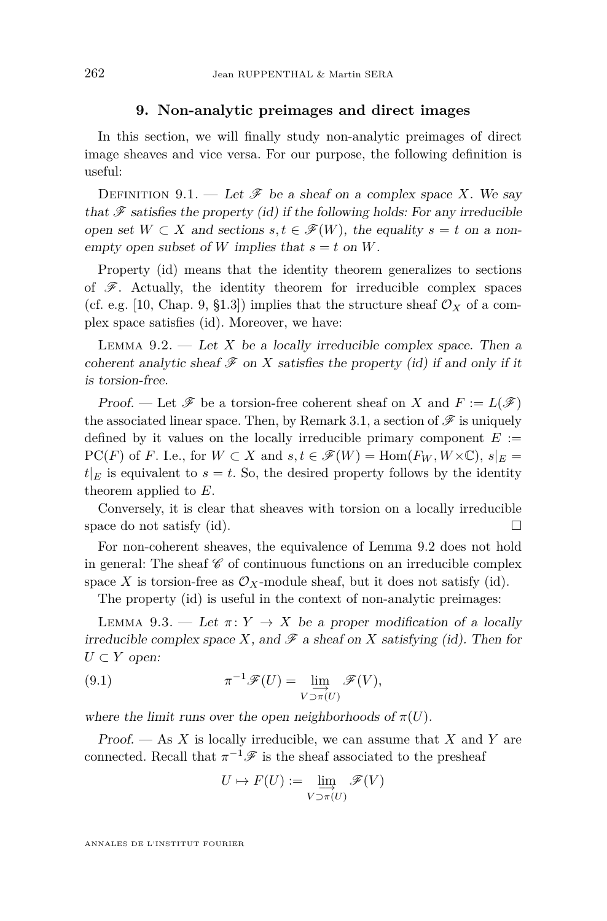#### **9. Non-analytic preimages and direct images**

<span id="page-26-0"></span>In this section, we will finally study non-analytic preimages of direct image sheaves and vice versa. For our purpose, the following definition is useful:

DEFINITION 9.1. — Let  $\mathscr F$  be a sheaf on a complex space X. We say that  $\mathscr F$  satisfies the property (id) if the following holds: For any irreducible open set  $W \subset X$  and sections  $s, t \in \mathcal{F}(W)$ , the equality  $s = t$  on a nonempty open subset of *W* implies that  $s = t$  on *W*.

Property (id) means that the identity theorem generalizes to sections of  $\mathscr F$ . Actually, the identity theorem for irreducible complex spaces (cf. e.g. [\[10,](#page-29-5) Chap. 9, §1.3]) implies that the structure sheaf  $\mathcal{O}_X$  of a complex space satisfies (id). Moreover, we have:

<span id="page-26-1"></span>LEMMA  $9.2.$  — Let *X* be a locally irreducible complex space. Then a coherent analytic sheaf  $\mathcal F$  on  $X$  satisfies the property (id) if and only if it is torsion-free.

Proof. — Let  $\mathscr F$  be a torsion-free coherent sheaf on *X* and  $F := L(\mathscr F)$ the associated linear space. Then, by Remark [3.1,](#page-7-1) a section of  $\mathscr F$  is uniquely defined by it values on the locally irreducible primary component  $E :=$  $PC(F)$  of *F*. I.e., for  $W \subset X$  and  $s, t \in \mathscr{F}(W) = \text{Hom}(F_W, W \times \mathbb{C}), s|_E =$  $t|_E$  is equivalent to  $s = t$ . So, the desired property follows by the identity theorem applied to *E*.

Conversely, it is clear that sheaves with torsion on a locally irreducible space do not satisfy (id).  $\Box$ 

For non-coherent sheaves, the equivalence of Lemma [9.2](#page-26-1) does not hold in general: The sheaf  $\mathscr C$  of continuous functions on an irreducible complex space  $X$  is torsion-free as  $\mathcal{O}_X$ -module sheaf, but it does not satisfy (id).

The property (id) is useful in the context of non-analytic preimages:

<span id="page-26-2"></span>LEMMA 9.3. — Let  $\pi: Y \to X$  be a proper modification of a locally irreducible complex space X, and  $\mathscr F$  a sheaf on X satisfying (id). Then for *U* ⊂ *Y* open:

(9.1) 
$$
\pi^{-1}\mathscr{F}(U) = \lim_{V \to \pi(U)} \mathscr{F}(V),
$$

where the limit runs over the open neighborhoods of  $\pi(U)$ .

Proof. — As *X* is locally irreducible, we can assume that *X* and *Y* are connected. Recall that  $\pi^{-1}\mathscr{F}$  is the sheaf associated to the presheaf

$$
U \mapsto F(U) := \varinjlim_{V \supset \pi(U)} \mathscr{F}(V)
$$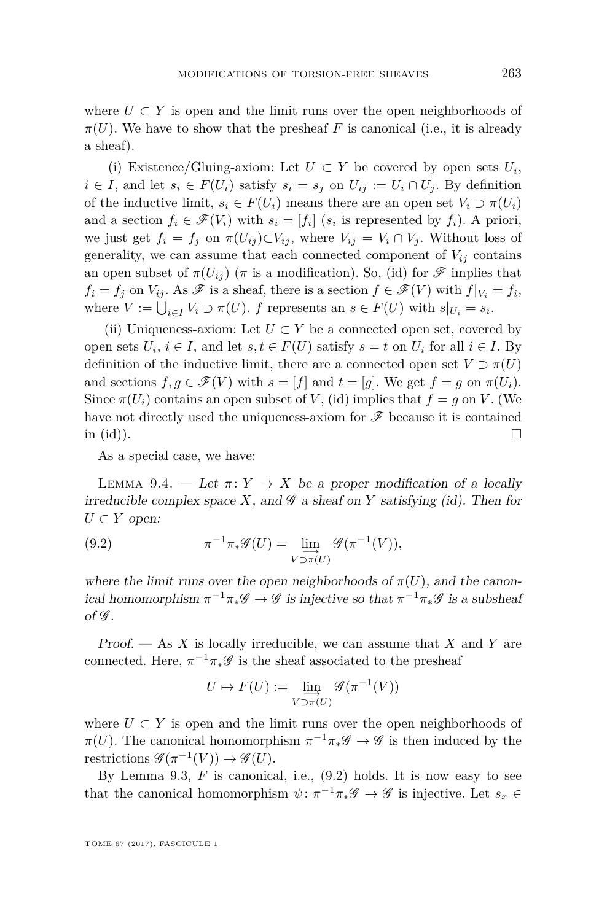where  $U \subset Y$  is open and the limit runs over the open neighborhoods of  $\pi(U)$ . We have to show that the presheaf *F* is canonical (i.e., it is already a sheaf).

(i) Existence/Gluing-axiom: Let  $U \subset Y$  be covered by open sets  $U_i$ , *i* ∈ *I*, and let  $s_i$  ∈  $F(U_i)$  satisfy  $s_i = s_j$  on  $U_{ij} := U_i \cap U_j$ . By definition of the inductive limit,  $s_i \in F(U_i)$  means there are an open set  $V_i \supset \pi(U_i)$ and a section  $f_i \in \mathscr{F}(V_i)$  with  $s_i = [f_i]$  ( $s_i$  is represented by  $f_i$ ). A priori, we just get  $f_i = f_j$  on  $\pi(U_{ij}) \subset V_{ij}$ , where  $V_{ij} = V_i \cap V_j$ . Without loss of generality, we can assume that each connected component of  $V_{ij}$  contains an open subset of  $\pi(U_{ij})$  ( $\pi$  is a modification). So, (id) for  $\mathscr F$  implies that  $f_i = f_j$  on  $V_{ij}$ . As  $\mathscr F$  is a sheaf, there is a section  $f \in \mathscr F(V)$  with  $f|_{V_i} = f_i$ , where  $V := \bigcup_{i \in I} V_i \supset \pi(U)$ . *f* represents an  $s \in F(U)$  with  $s|_{U_i} = s_i$ .

(ii) Uniqueness-axiom: Let  $U \subset Y$  be a connected open set, covered by open sets  $U_i$ ,  $i \in I$ , and let  $s, t \in F(U)$  satisfy  $s = t$  on  $U_i$  for all  $i \in I$ . By definition of the inductive limit, there are a connected open set  $V \supset \pi(U)$ and sections  $f, g \in \mathcal{F}(V)$  with  $s = [f]$  and  $t = [g]$ . We get  $f = g$  on  $\pi(U_i)$ . Since  $\pi(U_i)$  contains an open subset of *V*, (id) implies that  $f = g$  on *V*. (We have not directly used the uniqueness-axiom for  $\mathscr F$  because it is contained in (id)).

As a special case, we have:

<span id="page-27-1"></span>LEMMA 9.4. — Let  $\pi: Y \to X$  be a proper modification of a locally irreducible complex space  $X$ , and  $\mathscr G$  a sheaf on  $Y$  satisfying (id). Then for  $U \subset Y$  open:

<span id="page-27-0"></span>(9.2) 
$$
\pi^{-1}\pi_*\mathscr{G}(U) = \lim_{V \to \pi(U)} \mathscr{G}(\pi^{-1}(V)),
$$

where the limit runs over the open neighborhoods of  $\pi(U)$ , and the canonical homomorphism  $\pi^{-1}\pi_*\mathscr{G} \to \mathscr{G}$  is injective so that  $\pi^{-1}\pi_*\mathscr{G}$  is a subsheaf of  $\mathscr G$ .

Proof. — As *X* is locally irreducible, we can assume that *X* and *Y* are connected. Here,  $\pi^{-1}\pi_*\mathscr{G}$  is the sheaf associated to the presheaf

$$
U \mapsto F(U) := \varinjlim_{V \supset \pi(U)} \mathscr{G}(\pi^{-1}(V))
$$

where  $U \subset Y$  is open and the limit runs over the open neighborhoods of *π*(*U*). The canonical homomorphism  $\pi^{-1}\pi_*\mathscr{G} \to \mathscr{G}$  is then induced by the restrictions  $\mathscr{G}(\pi^{-1}(V)) \to \mathscr{G}(U)$ .

By Lemma [9.3,](#page-26-2)  $F$  is canonical, i.e.,  $(9.2)$  holds. It is now easy to see that the canonical homomorphism  $\psi: \pi^{-1}\pi_*\mathscr{G} \to \mathscr{G}$  is injective. Let  $s_x \in$ 

TOME 67 (2017), FASCICULE 1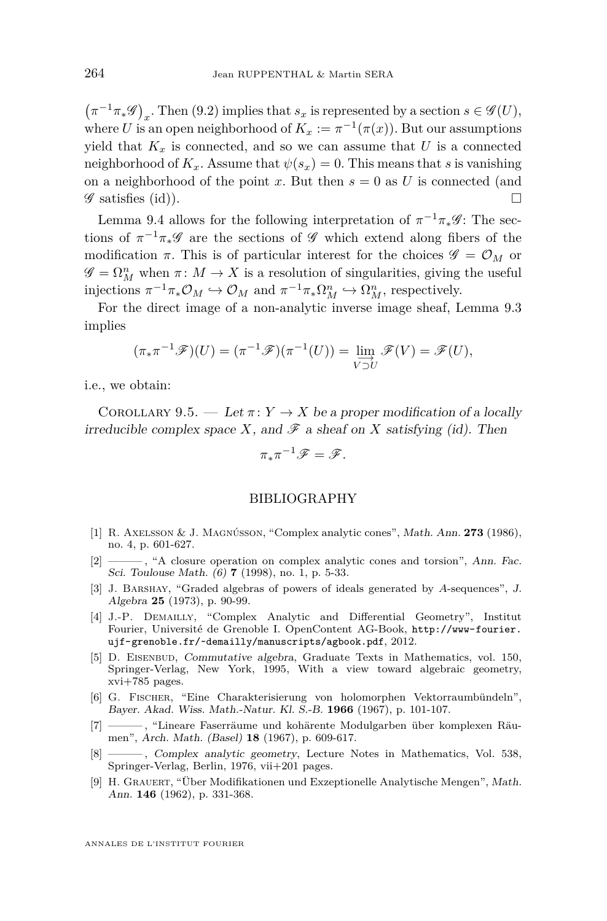$(\pi^{-1}\pi_*\mathscr{G})_x$ . Then [\(9.2\)](#page-27-0) implies that  $s_x$  is represented by a section  $s \in \mathscr{G}(U)$ , where *U* is an open neighborhood of  $K_x := \pi^{-1}(\pi(x))$ . But our assumptions yield that  $K_x$  is connected, and so we can assume that U is a connected neighborhood of  $K_x$ . Assume that  $\psi(s_x) = 0$ . This means that *s* is vanishing on a neighborhood of the point x. But then  $s = 0$  as U is connected (and  $\mathscr G$  satisfies (id)).

Lemma [9.4](#page-27-1) allows for the following interpretation of  $\pi^{-1}\pi_*\mathscr{G}$ : The sections of  $\pi^{-1}\pi_*\mathscr{G}$  are the sections of  $\mathscr{G}$  which extend along fibers of the modification  $\pi$ . This is of particular interest for the choices  $\mathscr{G} = \mathcal{O}_M$  or  $\mathscr{G} = \Omega^n_M$  when  $\pi \colon M \to X$  is a resolution of singularities, giving the useful injections  $\pi^{-1}\pi_*\mathcal{O}_M \hookrightarrow \mathcal{O}_M$  and  $\pi^{-1}\pi_*\Omega^n_M \hookrightarrow \Omega^n_M$ , respectively.

For the direct image of a non-analytic inverse image sheaf, Lemma [9.3](#page-26-2) implies

$$
(\pi_* \pi^{-1} \mathscr{F})(U) = (\pi^{-1} \mathscr{F})(\pi^{-1}(U)) = \varinjlim_{V \supset U} \mathscr{F}(V) = \mathscr{F}(U),
$$

i.e., we obtain:

COROLLARY 9.5. — Let  $\pi: Y \to X$  be a proper modification of a locally irreducible complex space *X*, and  $\mathscr F$  a sheaf on *X* satisfying (id). Then

$$
\pi_*\pi^{-1}\mathscr{F}=\mathscr{F}.
$$

#### BIBLIOGRAPHY

- <span id="page-28-1"></span>[1] R. Axelsson & J. Magnússon, "Complex analytic cones", Math. Ann. **273** (1986), no. 4, p. 601-627.
- <span id="page-28-0"></span>[2] ——, "A closure operation on complex analytic cones and torsion", Ann. Fac. Sci. Toulouse Math. (6) **7** (1998), no. 1, p. 5-33.
- <span id="page-28-6"></span>[3] J. Barshay, "Graded algebras of powers of ideals generated by *A*-sequences", J. Algebra **25** (1973), p. 90-99.
- <span id="page-28-2"></span>[4] J.-P. Demailly, "Complex Analytic and Differential Geometry", Institut Fourier, Université de Grenoble I. OpenContent AG-Book, [http://www-fourier.](http://www-fourier.ujf-grenoble.fr/~demailly/manuscripts/agbook.pdf) [ujf-grenoble.fr/~demailly/manuscripts/agbook.pdf](http://www-fourier.ujf-grenoble.fr/~demailly/manuscripts/agbook.pdf), 2012.
- <span id="page-28-7"></span>[5] D. EISENBUD, Commutative algebra, Graduate Texts in Mathematics, vol. 150, Springer-Verlag, New York, 1995, With a view toward algebraic geometry, xvi+785 pages.
- <span id="page-28-3"></span>[6] G. Fischer, "Eine Charakterisierung von holomorphen Vektorraumbündeln", Bayer. Akad. Wiss. Math.-Natur. Kl. S.-B. **1966** (1967), p. 101-107.
- <span id="page-28-4"></span>[7] ——— , "Lineare Faserräume und kohärente Modulgarben über komplexen Räumen", Arch. Math. (Basel) **18** (1967), p. 609-617.
- <span id="page-28-8"></span>[8] ——— , Complex analytic geometry, Lecture Notes in Mathematics, Vol. 538, Springer-Verlag, Berlin, 1976, vii+201 pages.
- <span id="page-28-5"></span>[9] H. Grauert, "Über Modifikationen und Exzeptionelle Analytische Mengen", Math. Ann. **146** (1962), p. 331-368.